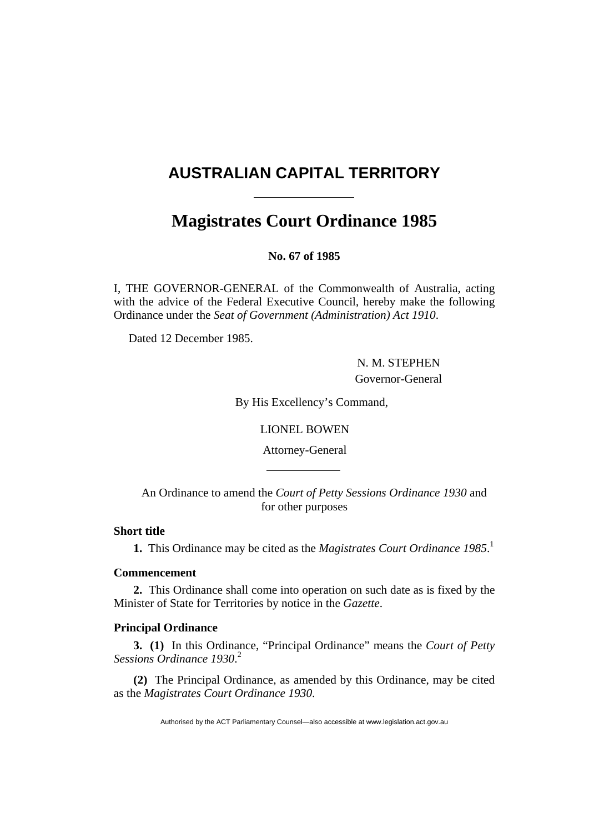# **AUSTRALIAN CAPITAL TERRITORY**

# **Magistrates Court Ordinance 1985**

**No. 67 of 1985** 

I, THE GOVERNOR-GENERAL of the Commonwealth of Australia, acting with the advice of the Federal Executive Council, hereby make the following Ordinance under the *Seat of Government (Administration) Act 1910*.

Dated 12 December 1985.

 N. M. STEPHEN Governor-General

By His Excellency's Command,

LIONEL BOWEN

Attorney-General

An Ordinance to amend the *Court of Petty Sessions Ordinance 1930* and for other purposes

#### **Short title**

**1.** This Ordinance may be cited as the *Magistrates Court Ordinance 1985*. 1

# **Commencement**

**2.** This Ordinance shall come into operation on such date as is fixed by the Minister of State for Territories by notice in the *Gazette*.

# **Principal Ordinance**

**3. (1)** In this Ordinance, "Principal Ordinance" means the *Court of Petty Sessions Ordinance 1930*. 2

**(2)** The Principal Ordinance, as amended by this Ordinance, may be cited as the *Magistrates Court Ordinance 1930*.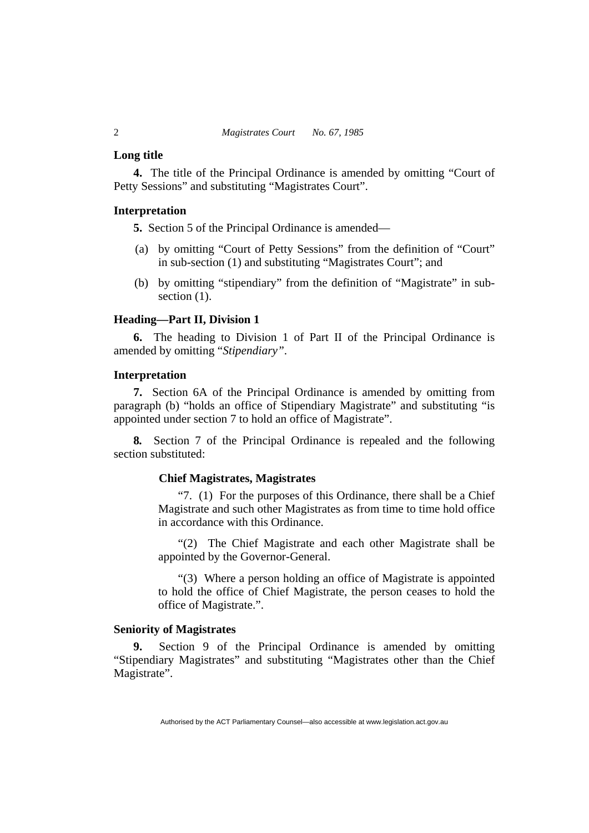#### **Long title**

**4.** The title of the Principal Ordinance is amended by omitting "Court of Petty Sessions" and substituting "Magistrates Court".

# **Interpretation**

**5.** Section 5 of the Principal Ordinance is amended—

- (a) by omitting "Court of Petty Sessions" from the definition of "Court" in sub-section (1) and substituting "Magistrates Court"; and
- (b) by omitting "stipendiary" from the definition of "Magistrate" in subsection  $(1)$ .

#### **Heading—Part II, Division 1**

**6.** The heading to Division 1 of Part II of the Principal Ordinance is amended by omitting "*Stipendiary"*.

# **Interpretation**

**7.** Section 6A of the Principal Ordinance is amended by omitting from paragraph (b) "holds an office of Stipendiary Magistrate" and substituting "is appointed under section 7 to hold an office of Magistrate".

**8***.* Section 7 of the Principal Ordinance is repealed and the following section substituted:

# **Chief Magistrates, Magistrates**

"7. (1) For the purposes of this Ordinance, there shall be a Chief Magistrate and such other Magistrates as from time to time hold office in accordance with this Ordinance.

"(2) The Chief Magistrate and each other Magistrate shall be appointed by the Governor-General.

"(3) Where a person holding an office of Magistrate is appointed to hold the office of Chief Magistrate, the person ceases to hold the office of Magistrate.".

#### **Seniority of Magistrates**

**9.** Section 9 of the Principal Ordinance is amended by omitting "Stipendiary Magistrates" and substituting "Magistrates other than the Chief Magistrate".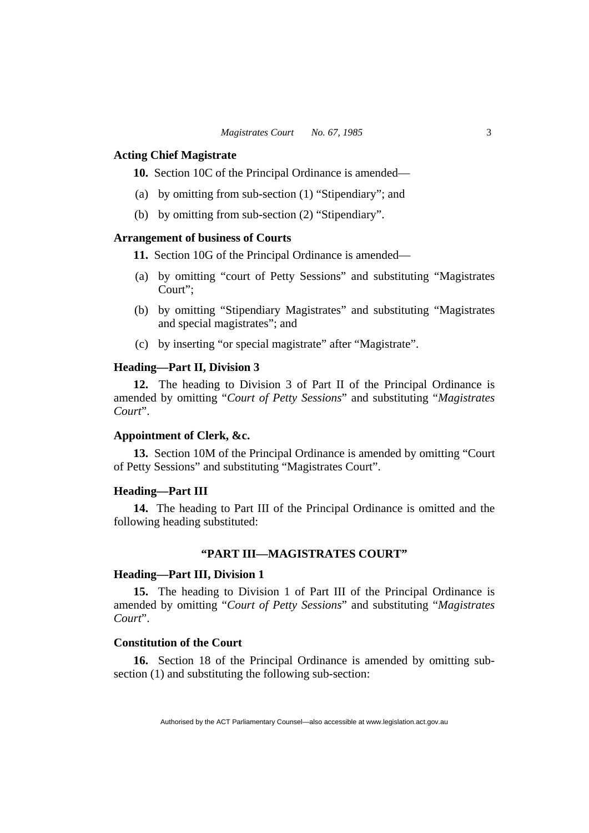#### **Acting Chief Magistrate**

**10.** Section 10C of the Principal Ordinance is amended—

- (a) by omitting from sub-section (1) "Stipendiary"; and
- (b) by omitting from sub-section (2) "Stipendiary".

# **Arrangement of business of Courts**

**11.** Section 10G of the Principal Ordinance is amended—

- (a) by omitting "court of Petty Sessions" and substituting "Magistrates Court";
- (b) by omitting "Stipendiary Magistrates" and substituting "Magistrates and special magistrates"; and
- (c) by inserting "or special magistrate" after "Magistrate".

# **Heading—Part II, Division 3**

**12.** The heading to Division 3 of Part II of the Principal Ordinance is amended by omitting "*Court of Petty Sessions*" and substituting "*Magistrates Court*".

#### **Appointment of Clerk, &c.**

**13.** Section 10M of the Principal Ordinance is amended by omitting "Court of Petty Sessions" and substituting "Magistrates Court".

#### **Heading—Part III**

**14.** The heading to Part III of the Principal Ordinance is omitted and the following heading substituted:

# **"PART III—MAGISTRATES COURT"**

#### **Heading—Part III, Division 1**

**15.** The heading to Division 1 of Part III of the Principal Ordinance is amended by omitting "*Court of Petty Sessions*" and substituting "*Magistrates Court*".

# **Constitution of the Court**

**16.** Section 18 of the Principal Ordinance is amended by omitting subsection (1) and substituting the following sub-section: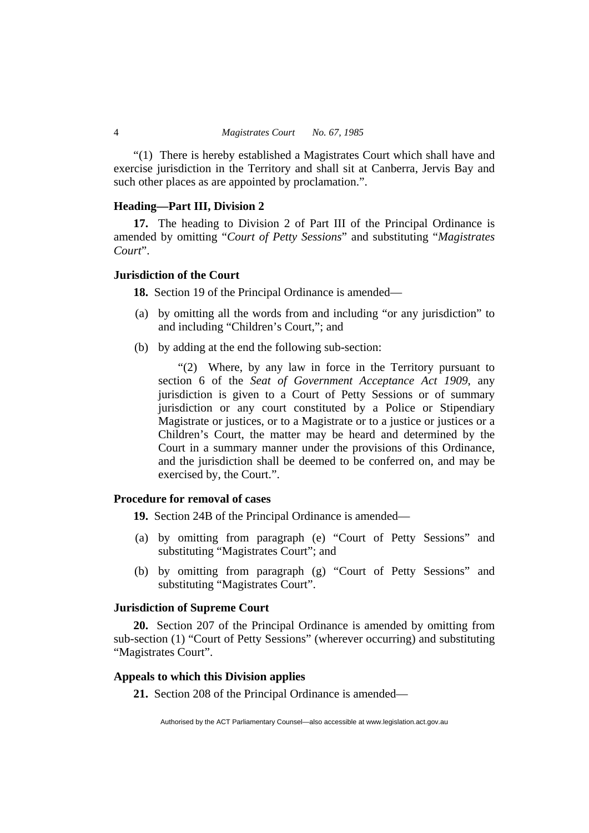"(1) There is hereby established a Magistrates Court which shall have and exercise jurisdiction in the Territory and shall sit at Canberra, Jervis Bay and such other places as are appointed by proclamation.".

# **Heading—Part III, Division 2**

**17.** The heading to Division 2 of Part III of the Principal Ordinance is amended by omitting "*Court of Petty Sessions*" and substituting "*Magistrates Court*".

#### **Jurisdiction of the Court**

**18.** Section 19 of the Principal Ordinance is amended—

- (a) by omitting all the words from and including "or any jurisdiction" to and including "Children's Court,"; and
- (b) by adding at the end the following sub-section:

"(2) Where, by any law in force in the Territory pursuant to section 6 of the *Seat of Government Acceptance Act 1909*, any jurisdiction is given to a Court of Petty Sessions or of summary jurisdiction or any court constituted by a Police or Stipendiary Magistrate or justices, or to a Magistrate or to a justice or justices or a Children's Court, the matter may be heard and determined by the Court in a summary manner under the provisions of this Ordinance, and the jurisdiction shall be deemed to be conferred on, and may be exercised by, the Court.".

# **Procedure for removal of cases**

**19.** Section 24B of the Principal Ordinance is amended—

- (a) by omitting from paragraph (e) "Court of Petty Sessions" and substituting "Magistrates Court"; and
- (b) by omitting from paragraph (g) "Court of Petty Sessions" and substituting "Magistrates Court".

#### **Jurisdiction of Supreme Court**

**20.** Section 207 of the Principal Ordinance is amended by omitting from sub-section (1) "Court of Petty Sessions" (wherever occurring) and substituting "Magistrates Court".

# **Appeals to which this Division applies**

**21.** Section 208 of the Principal Ordinance is amended—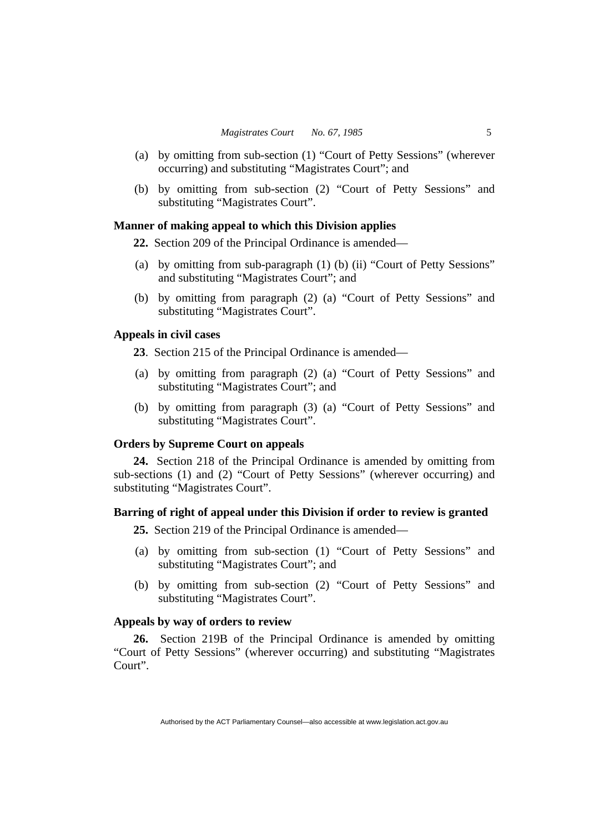- (a) by omitting from sub-section (1) "Court of Petty Sessions" (wherever occurring) and substituting "Magistrates Court"; and
- (b) by omitting from sub-section (2) "Court of Petty Sessions" and substituting "Magistrates Court".

#### **Manner of making appeal to which this Division applies**

**22.** Section 209 of the Principal Ordinance is amended—

- (a) by omitting from sub-paragraph (1) (b) (ii) "Court of Petty Sessions" and substituting "Magistrates Court"; and
- (b) by omitting from paragraph (2) (a) "Court of Petty Sessions" and substituting "Magistrates Court".

#### **Appeals in civil cases**

**23**. Section 215 of the Principal Ordinance is amended—

- (a) by omitting from paragraph (2) (a) "Court of Petty Sessions" and substituting "Magistrates Court"; and
- (b) by omitting from paragraph (3) (a) "Court of Petty Sessions" and substituting "Magistrates Court".

#### **Orders by Supreme Court on appeals**

**24.** Section 218 of the Principal Ordinance is amended by omitting from sub-sections (1) and (2) "Court of Petty Sessions" (wherever occurring) and substituting "Magistrates Court".

# **Barring of right of appeal under this Division if order to review is granted**

**25.** Section 219 of the Principal Ordinance is amended—

- (a) by omitting from sub-section (1) "Court of Petty Sessions" and substituting "Magistrates Court"; and
- (b) by omitting from sub-section (2) "Court of Petty Sessions" and substituting "Magistrates Court".

# **Appeals by way of orders to review**

**26.** Section 219B of the Principal Ordinance is amended by omitting "Court of Petty Sessions" (wherever occurring) and substituting "Magistrates Court".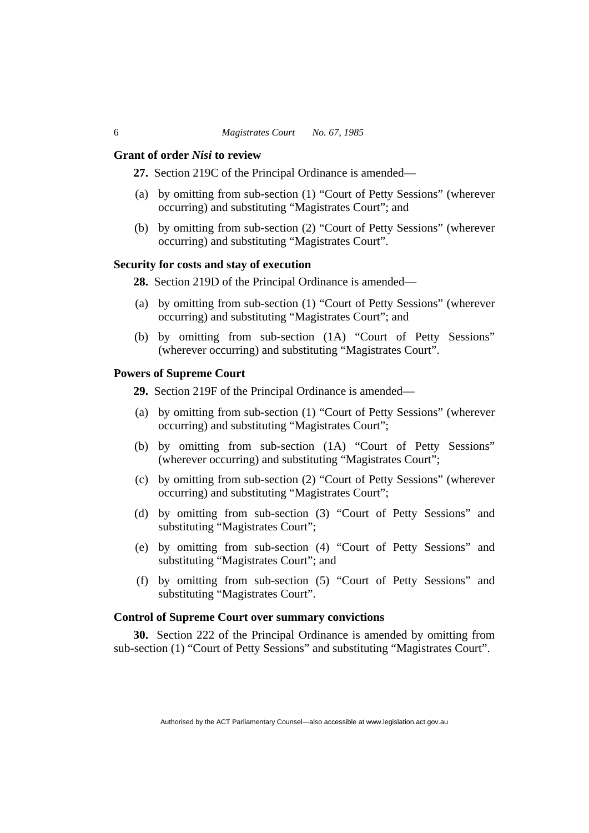#### **Grant of order** *Nisi* **to review**

**27.** Section 219C of the Principal Ordinance is amended—

- (a) by omitting from sub-section (1) "Court of Petty Sessions" (wherever occurring) and substituting "Magistrates Court"; and
- (b) by omitting from sub-section (2) "Court of Petty Sessions" (wherever occurring) and substituting "Magistrates Court".

# **Security for costs and stay of execution**

28. Section 219D of the Principal Ordinance is amended—

- (a) by omitting from sub-section (1) "Court of Petty Sessions" (wherever occurring) and substituting "Magistrates Court"; and
- (b) by omitting from sub-section (1A) "Court of Petty Sessions" (wherever occurring) and substituting "Magistrates Court".

# **Powers of Supreme Court**

**29.** Section 219F of the Principal Ordinance is amended—

- (a) by omitting from sub-section (1) "Court of Petty Sessions" (wherever occurring) and substituting "Magistrates Court";
- (b) by omitting from sub-section (1A) "Court of Petty Sessions" (wherever occurring) and substituting "Magistrates Court";
- (c) by omitting from sub-section (2) "Court of Petty Sessions" (wherever occurring) and substituting "Magistrates Court";
- (d) by omitting from sub-section (3) "Court of Petty Sessions" and substituting "Magistrates Court";
- (e) by omitting from sub-section (4) "Court of Petty Sessions" and substituting "Magistrates Court"; and
- (f) by omitting from sub-section (5) "Court of Petty Sessions" and substituting "Magistrates Court".

# **Control of Supreme Court over summary convictions**

**30.** Section 222 of the Principal Ordinance is amended by omitting from sub-section (1) "Court of Petty Sessions" and substituting "Magistrates Court".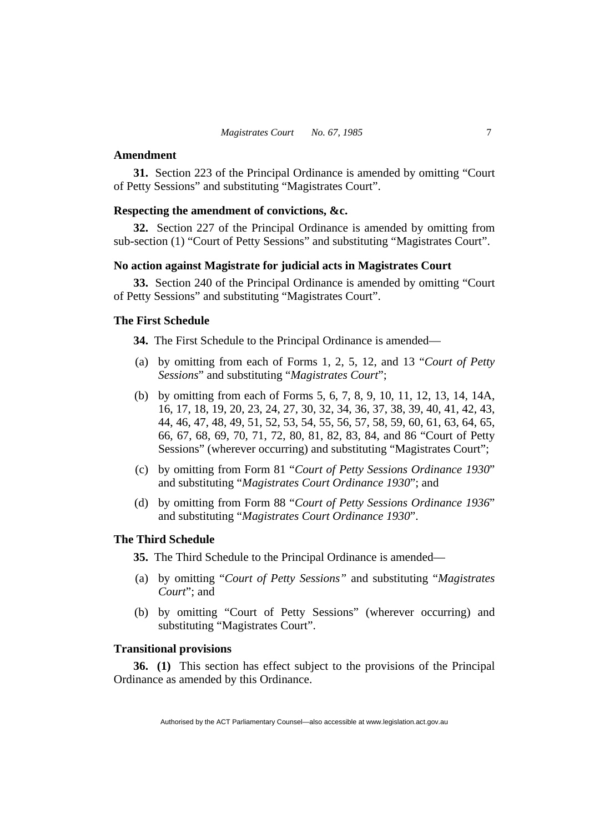#### **Amendment**

**31.** Section 223 of the Principal Ordinance is amended by omitting "Court of Petty Sessions" and substituting "Magistrates Court".

# **Respecting the amendment of convictions, &c.**

**32.** Section 227 of the Principal Ordinance is amended by omitting from sub-section (1) "Court of Petty Sessions" and substituting "Magistrates Court".

# **No action against Magistrate for judicial acts in Magistrates Court**

**33.** Section 240 of the Principal Ordinance is amended by omitting "Court of Petty Sessions" and substituting "Magistrates Court".

# **The First Schedule**

**34.** The First Schedule to the Principal Ordinance is amended—

- (a) by omitting from each of Forms 1, 2, 5, 12, and 13 "*Court of Petty Sessions*" and substituting "*Magistrates Court*";
- (b) by omitting from each of Forms 5, 6, 7, 8, 9, 10, 11, 12, 13, 14, 14A, 16, 17, 18, 19, 20, 23, 24, 27, 30, 32, 34, 36, 37, 38, 39, 40, 41, 42, 43, 44, 46, 47, 48, 49, 51, 52, 53, 54, 55, 56, 57, 58, 59, 60, 61, 63, 64, 65, 66, 67, 68, 69, 70, 71, 72, 80, 81, 82, 83, 84, and 86 "Court of Petty Sessions" (wherever occurring) and substituting "Magistrates Court";
- (c) by omitting from Form 81 "*Court of Petty Sessions Ordinance 1930*" and substituting "*Magistrates Court Ordinance 1930*"; and
- (d) by omitting from Form 88 "*Court of Petty Sessions Ordinance 1936*" and substituting "*Magistrates Court Ordinance 1930*".

# **The Third Schedule**

**35.** The Third Schedule to the Principal Ordinance is amended—

- (a) by omitting "*Court of Petty Sessions"* and substituting "*Magistrates Court*"; and
- (b) by omitting "Court of Petty Sessions" (wherever occurring) and substituting "Magistrates Court".

# **Transitional provisions**

**36. (1)** This section has effect subject to the provisions of the Principal Ordinance as amended by this Ordinance.

Authorised by the ACT Parliamentary Counsel—also accessible at www.legislation.act.gov.au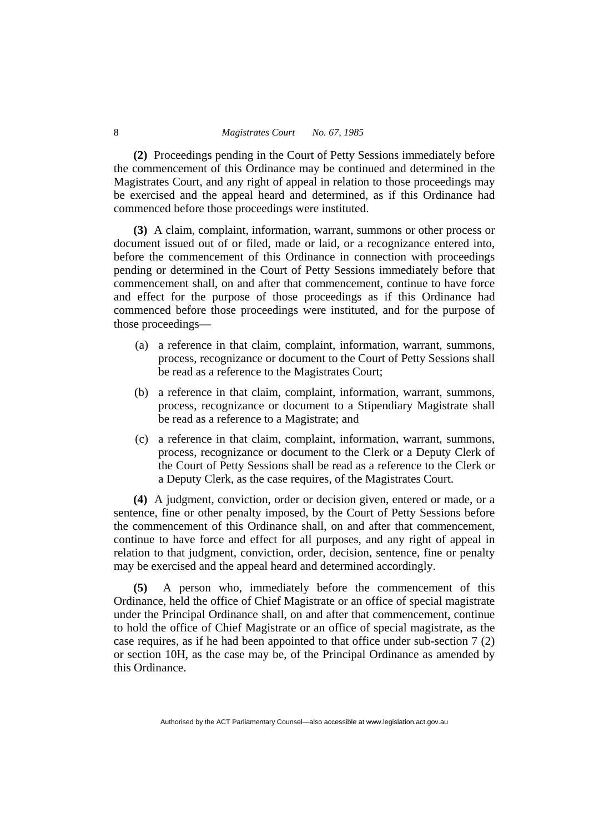**(2)** Proceedings pending in the Court of Petty Sessions immediately before the commencement of this Ordinance may be continued and determined in the Magistrates Court, and any right of appeal in relation to those proceedings may be exercised and the appeal heard and determined, as if this Ordinance had commenced before those proceedings were instituted.

**(3)** A claim, complaint, information, warrant, summons or other process or document issued out of or filed, made or laid, or a recognizance entered into, before the commencement of this Ordinance in connection with proceedings pending or determined in the Court of Petty Sessions immediately before that commencement shall, on and after that commencement, continue to have force and effect for the purpose of those proceedings as if this Ordinance had commenced before those proceedings were instituted, and for the purpose of those proceedings—

- (a) a reference in that claim, complaint, information, warrant, summons, process, recognizance or document to the Court of Petty Sessions shall be read as a reference to the Magistrates Court;
- (b) a reference in that claim, complaint, information, warrant, summons, process, recognizance or document to a Stipendiary Magistrate shall be read as a reference to a Magistrate; and
- (c) a reference in that claim, complaint, information, warrant, summons, process, recognizance or document to the Clerk or a Deputy Clerk of the Court of Petty Sessions shall be read as a reference to the Clerk or a Deputy Clerk, as the case requires, of the Magistrates Court.

**(4)** A judgment, conviction, order or decision given, entered or made, or a sentence, fine or other penalty imposed, by the Court of Petty Sessions before the commencement of this Ordinance shall, on and after that commencement, continue to have force and effect for all purposes, and any right of appeal in relation to that judgment, conviction, order, decision, sentence, fine or penalty may be exercised and the appeal heard and determined accordingly.

**(5)** A person who, immediately before the commencement of this Ordinance, held the office of Chief Magistrate or an office of special magistrate under the Principal Ordinance shall, on and after that commencement, continue to hold the office of Chief Magistrate or an office of special magistrate, as the case requires, as if he had been appointed to that office under sub-section 7 (2) or section 10H, as the case may be, of the Principal Ordinance as amended by this Ordinance.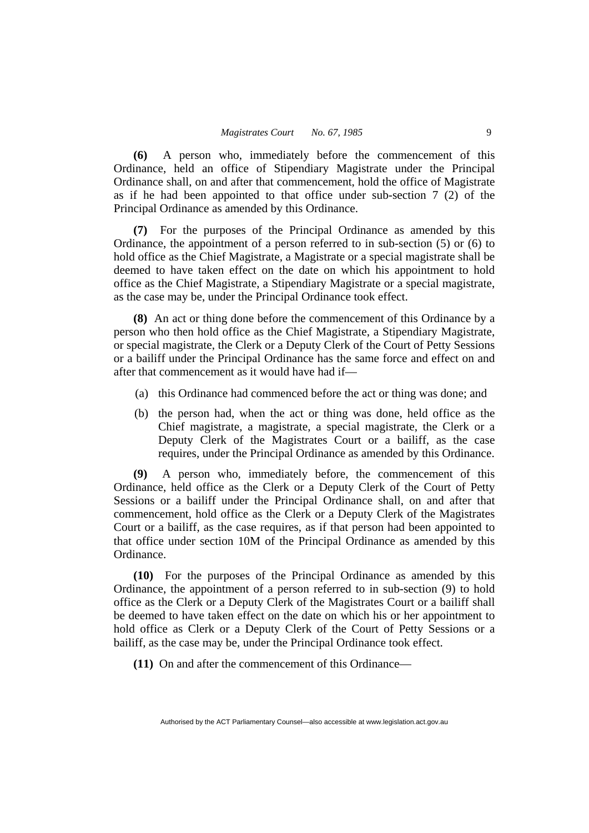**(6)** A person who, immediately before the commencement of this Ordinance, held an office of Stipendiary Magistrate under the Principal Ordinance shall, on and after that commencement, hold the office of Magistrate as if he had been appointed to that office under sub-section 7 (2) of the Principal Ordinance as amended by this Ordinance.

**(7)** For the purposes of the Principal Ordinance as amended by this Ordinance, the appointment of a person referred to in sub-section (5) or (6) to hold office as the Chief Magistrate, a Magistrate or a special magistrate shall be deemed to have taken effect on the date on which his appointment to hold office as the Chief Magistrate, a Stipendiary Magistrate or a special magistrate, as the case may be, under the Principal Ordinance took effect.

**(8)** An act or thing done before the commencement of this Ordinance by a person who then hold office as the Chief Magistrate, a Stipendiary Magistrate, or special magistrate, the Clerk or a Deputy Clerk of the Court of Petty Sessions or a bailiff under the Principal Ordinance has the same force and effect on and after that commencement as it would have had if—

- (a) this Ordinance had commenced before the act or thing was done; and
- (b) the person had, when the act or thing was done, held office as the Chief magistrate, a magistrate, a special magistrate, the Clerk or a Deputy Clerk of the Magistrates Court or a bailiff, as the case requires, under the Principal Ordinance as amended by this Ordinance.

**(9)** A person who, immediately before, the commencement of this Ordinance, held office as the Clerk or a Deputy Clerk of the Court of Petty Sessions or a bailiff under the Principal Ordinance shall, on and after that commencement, hold office as the Clerk or a Deputy Clerk of the Magistrates Court or a bailiff, as the case requires, as if that person had been appointed to that office under section 10M of the Principal Ordinance as amended by this Ordinance.

**(10)** For the purposes of the Principal Ordinance as amended by this Ordinance, the appointment of a person referred to in sub-section (9) to hold office as the Clerk or a Deputy Clerk of the Magistrates Court or a bailiff shall be deemed to have taken effect on the date on which his or her appointment to hold office as Clerk or a Deputy Clerk of the Court of Petty Sessions or a bailiff, as the case may be, under the Principal Ordinance took effect.

**(11)** On and after the commencement of this Ordinance—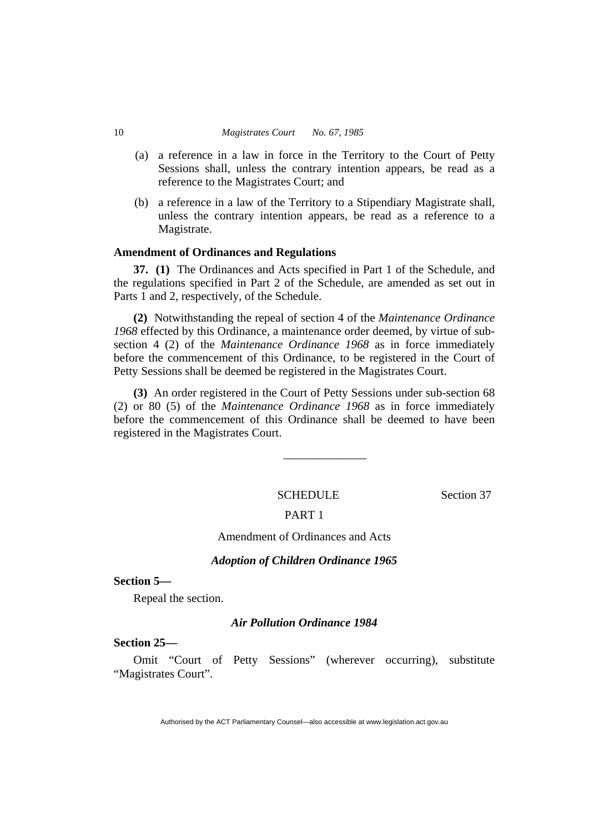- (a) a reference in a law in force in the Territory to the Court of Petty Sessions shall, unless the contrary intention appears, be read as a reference to the Magistrates Court; and
- (b) a reference in a law of the Territory to a Stipendiary Magistrate shall, unless the contrary intention appears, be read as a reference to a Magistrate.

#### **Amendment of Ordinances and Regulations**

**37. (1)** The Ordinances and Acts specified in Part 1 of the Schedule, and the regulations specified in Part 2 of the Schedule, are amended as set out in Parts 1 and 2, respectively, of the Schedule.

**(2)** Notwithstanding the repeal of section 4 of the *Maintenance Ordinance 1968* effected by this Ordinance, a maintenance order deemed, by virtue of subsection 4 (2) of the *Maintenance Ordinance 1968* as in force immediately before the commencement of this Ordinance, to be registered in the Court of Petty Sessions shall be deemed be registered in the Magistrates Court.

**(3)** An order registered in the Court of Petty Sessions under sub-section 68 (2) or 80 (5) of the *Maintenance Ordinance 1968* as in force immediately before the commencement of this Ordinance shall be deemed to have been registered in the Magistrates Court.

SCHEDULE Section 37

\_\_\_\_\_\_\_\_\_\_\_\_\_\_

#### PART 1

Amendment of Ordinances and Acts

#### *Adoption of Children Ordinance 1965*

**Section 5—** 

Repeal the section.

# *Air Pollution Ordinance 1984*

# **Section 25—**

Omit "Court of Petty Sessions" (wherever occurring), substitute "Magistrates Court".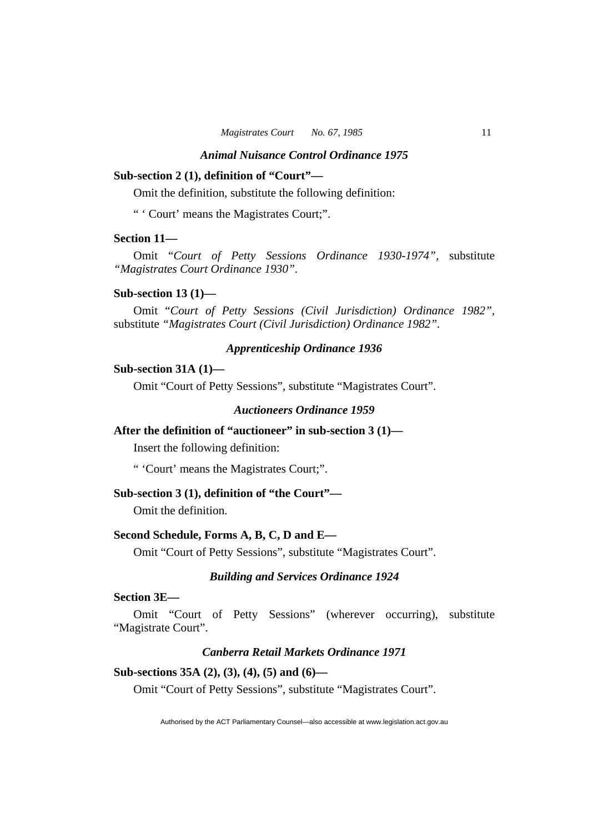# **Sub-section 2 (1), definition of "Court"—**

Omit the definition, substitute the following definition:

" ' Court' means the Magistrates Court;".

#### **Section 11—**

Omit "*Court of Petty Sessions Ordinance 1930-1974",* substitute *"Magistrates Court Ordinance 1930".* 

#### **Sub-section 13 (1)—**

Omit "*Court of Petty Sessions (Civil Jurisdiction) Ordinance 1982",*  substitute *"Magistrates Court (Civil Jurisdiction) Ordinance 1982".* 

# *Apprenticeship Ordinance 1936*

# **Sub-section 31A (1)—**

Omit "Court of Petty Sessions", substitute "Magistrates Court".

# *Auctioneers Ordinance 1959*

# **After the definition of "auctioneer" in sub-section 3 (1)—**

Insert the following definition:

" 'Court' means the Magistrates Court;".

#### **Sub-section 3 (1), definition of "the Court"—**

Omit the definition.

#### **Second Schedule, Forms A, B, C, D and E—**

Omit "Court of Petty Sessions", substitute "Magistrates Court".

#### *Building and Services Ordinance 1924*

# **Section 3E—**

Omit "Court of Petty Sessions" (wherever occurring), substitute "Magistrate Court".

# *Canberra Retail Markets Ordinance 1971*

#### **Sub-sections 35A (2), (3), (4), (5) and (6)—**

Omit "Court of Petty Sessions", substitute "Magistrates Court".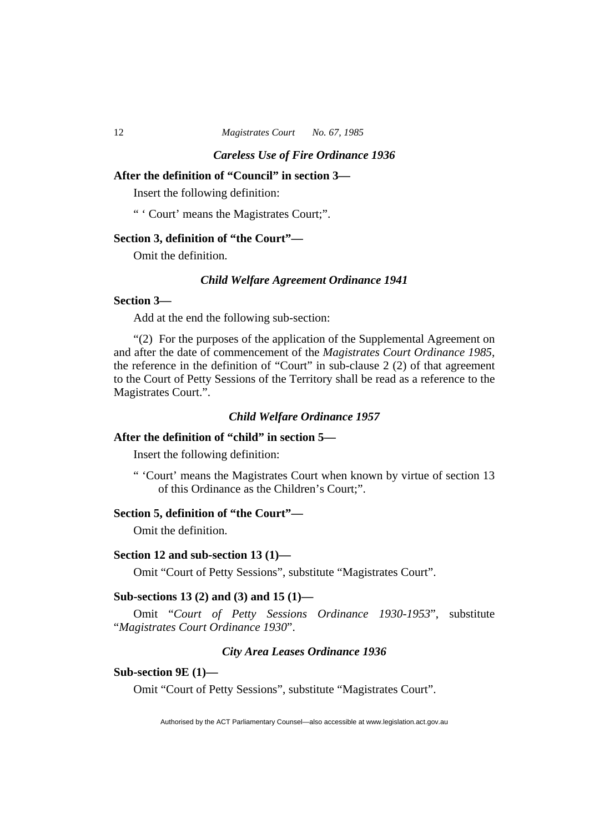# **After the definition of "Council" in section 3—**

Insert the following definition:

" ' Court' means the Magistrates Court;".

# **Section 3, definition of "the Court"—**

Omit the definition.

# *Child Welfare Agreement Ordinance 1941*

#### **Section 3—**

Add at the end the following sub-section:

"(2) For the purposes of the application of the Supplemental Agreement on and after the date of commencement of the *Magistrates Court Ordinance 1985*, the reference in the definition of "Court" in sub-clause 2 (2) of that agreement to the Court of Petty Sessions of the Territory shall be read as a reference to the Magistrates Court.".

#### *Child Welfare Ordinance 1957*

# **After the definition of "child" in section 5—**

Insert the following definition:

" 'Court' means the Magistrates Court when known by virtue of section 13 of this Ordinance as the Children's Court;".

# **Section 5, definition of "the Court"—**

Omit the definition.

#### **Section 12 and sub-section 13 (1)—**

Omit "Court of Petty Sessions", substitute "Magistrates Court".

#### **Sub-sections 13 (2) and (3) and 15 (1)—**

Omit "*Court of Petty Sessions Ordinance 1930-1953*", substitute "*Magistrates Court Ordinance 1930*".

#### *City Area Leases Ordinance 1936*

#### **Sub-section 9E (1)—**

Omit "Court of Petty Sessions", substitute "Magistrates Court".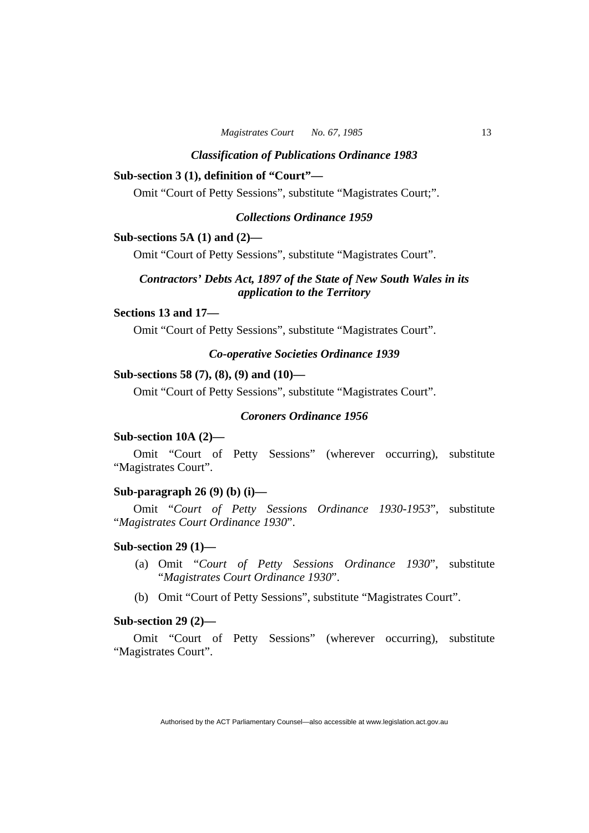#### *Classification of Publications Ordinance 1983*

# **Sub-section 3 (1), definition of "Court"—**

Omit "Court of Petty Sessions", substitute "Magistrates Court;".

#### *Collections Ordinance 1959*

# **Sub-sections 5A (1) and (2)—**

Omit "Court of Petty Sessions", substitute "Magistrates Court".

# *Contractors' Debts Act, 1897 of the State of New South Wales in its application to the Territory*

#### **Sections 13 and 17—**

Omit "Court of Petty Sessions", substitute "Magistrates Court".

# *Co-operative Societies Ordinance 1939*

# **Sub-sections 58 (7), (8), (9) and (10)—**

Omit "Court of Petty Sessions", substitute "Magistrates Court".

# *Coroners Ordinance 1956*

#### **Sub-section 10A (2)—**

Omit "Court of Petty Sessions" (wherever occurring), substitute "Magistrates Court".

# **Sub-paragraph 26 (9) (b) (i)—**

Omit "*Court of Petty Sessions Ordinance 1930-1953*", substitute "*Magistrates Court Ordinance 1930*".

# **Sub-section 29 (1)—**

- (a) Omit "*Court of Petty Sessions Ordinance 1930*", substitute "*Magistrates Court Ordinance 1930*".
- (b) Omit "Court of Petty Sessions", substitute "Magistrates Court".

#### **Sub-section 29 (2)—**

Omit "Court of Petty Sessions" (wherever occurring), substitute "Magistrates Court".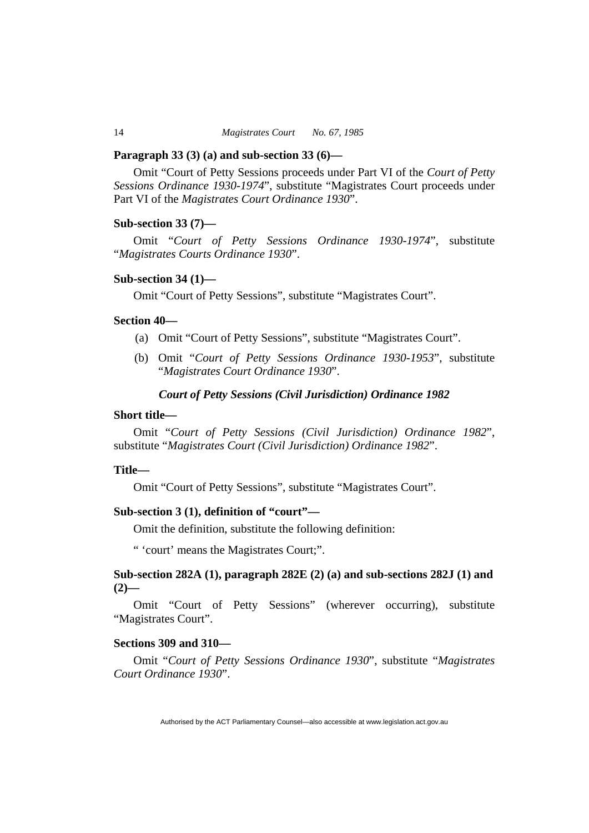#### **Paragraph 33 (3) (a) and sub-section 33 (6)—**

Omit "Court of Petty Sessions proceeds under Part VI of the *Court of Petty Sessions Ordinance 1930-1974*", substitute "Magistrates Court proceeds under Part VI of the *Magistrates Court Ordinance 1930*".

#### **Sub-section 33 (7)—**

Omit "*Court of Petty Sessions Ordinance 1930-1974*", substitute "*Magistrates Courts Ordinance 1930*".

#### **Sub-section 34 (1)—**

Omit "Court of Petty Sessions", substitute "Magistrates Court".

# **Section 40—**

- (a) Omit "Court of Petty Sessions", substitute "Magistrates Court".
- (b) Omit "*Court of Petty Sessions Ordinance 1930-1953*", substitute "*Magistrates Court Ordinance 1930*".

# *Court of Petty Sessions (Civil Jurisdiction) Ordinance 1982*

#### **Short title—**

Omit "*Court of Petty Sessions (Civil Jurisdiction) Ordinance 1982*", substitute "*Magistrates Court (Civil Jurisdiction) Ordinance 1982*".

#### **Title—**

Omit "Court of Petty Sessions", substitute "Magistrates Court".

#### **Sub-section 3 (1), definition of "court"—**

Omit the definition, substitute the following definition:

" 'court' means the Magistrates Court;".

# **Sub-section 282A (1), paragraph 282E (2) (a) and sub-sections 282J (1) and**   $(2)$ —

Omit "Court of Petty Sessions" (wherever occurring), substitute "Magistrates Court".

#### **Sections 309 and 310—**

Omit "*Court of Petty Sessions Ordinance 1930*", substitute "*Magistrates Court Ordinance 1930*".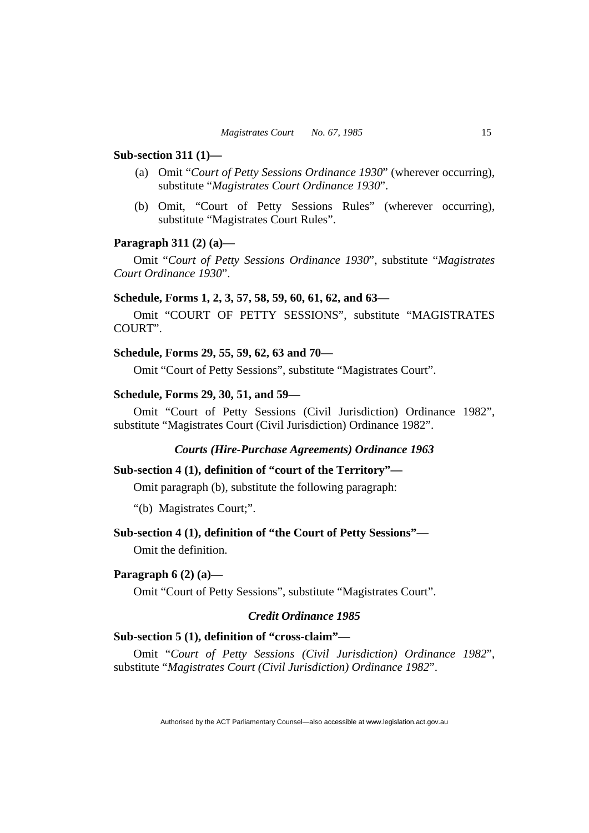#### **Sub-section 311 (1)—**

- (a) Omit "*Court of Petty Sessions Ordinance 1930*" (wherever occurring), substitute "*Magistrates Court Ordinance 1930*".
- (b) Omit, "Court of Petty Sessions Rules" (wherever occurring), substitute "Magistrates Court Rules".

#### **Paragraph 311 (2) (a)—**

Omit "*Court of Petty Sessions Ordinance 1930*", substitute "*Magistrates Court Ordinance 1930*".

#### **Schedule, Forms 1, 2, 3, 57, 58, 59, 60, 61, 62, and 63—**

Omit "COURT OF PETTY SESSIONS", substitute "MAGISTRATES COURT".

# **Schedule, Forms 29, 55, 59, 62, 63 and 70—**

Omit "Court of Petty Sessions", substitute "Magistrates Court".

#### **Schedule, Forms 29, 30, 51, and 59—**

Omit "Court of Petty Sessions (Civil Jurisdiction) Ordinance 1982", substitute "Magistrates Court (Civil Jurisdiction) Ordinance 1982".

# *Courts (Hire-Purchase Agreements) Ordinance 1963*

#### **Sub-section 4 (1), definition of "court of the Territory"—**

Omit paragraph (b), substitute the following paragraph:

"(b) Magistrates Court;".

#### **Sub-section 4 (1), definition of "the Court of Petty Sessions"—**

Omit the definition.

#### **Paragraph 6 (2) (a)—**

Omit "Court of Petty Sessions", substitute "Magistrates Court".

# *Credit Ordinance 1985*

# **Sub-section 5 (1), definition of "cross-claim"—**

Omit "*Court of Petty Sessions (Civil Jurisdiction) Ordinance 1982*", substitute "*Magistrates Court (Civil Jurisdiction) Ordinance 1982*".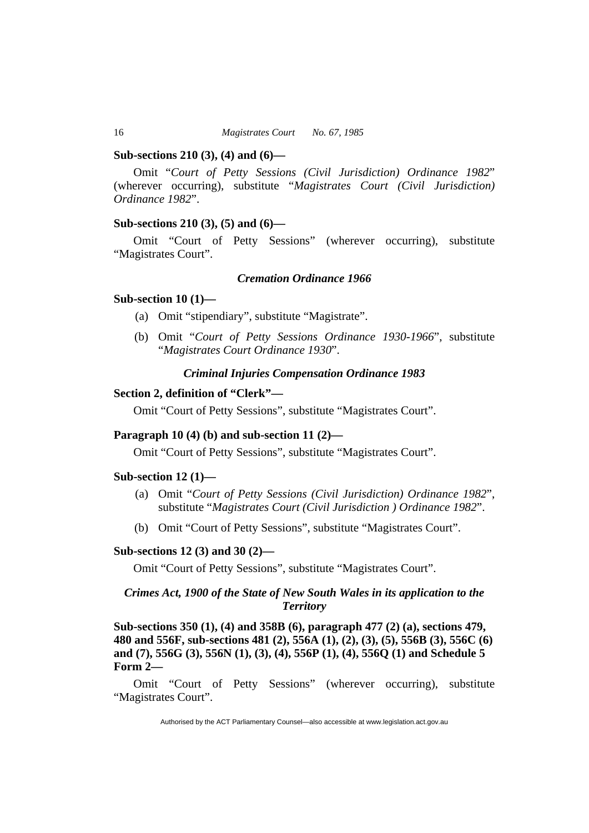#### **Sub-sections 210 (3), (4) and (6)—**

Omit "*Court of Petty Sessions (Civil Jurisdiction) Ordinance 1982*" (wherever occurring), substitute "*Magistrates Court (Civil Jurisdiction) Ordinance 1982*".

# **Sub-sections 210 (3), (5) and (6)—**

Omit "Court of Petty Sessions" (wherever occurring), substitute "Magistrates Court".

# *Cremation Ordinance 1966*

#### **Sub-section 10 (1)—**

- (a) Omit "stipendiary", substitute "Magistrate".
- (b) Omit "*Court of Petty Sessions Ordinance 1930-1966*", substitute "*Magistrates Court Ordinance 1930*".

# *Criminal Injuries Compensation Ordinance 1983*

#### **Section 2, definition of "Clerk"—**

Omit "Court of Petty Sessions", substitute "Magistrates Court".

#### **Paragraph 10 (4) (b) and sub-section 11 (2)—**

Omit "Court of Petty Sessions", substitute "Magistrates Court".

#### **Sub-section 12 (1)—**

- (a) Omit "*Court of Petty Sessions (Civil Jurisdiction) Ordinance 1982*", substitute "*Magistrates Court (Civil Jurisdiction ) Ordinance 1982*".
- (b) Omit "Court of Petty Sessions", substitute "Magistrates Court".

# **Sub-sections 12 (3) and 30 (2)—**

Omit "Court of Petty Sessions", substitute "Magistrates Court".

# *Crimes Act, 1900 of the State of New South Wales in its application to the Territory*

**Sub-sections 350 (1), (4) and 358B (6), paragraph 477 (2) (a), sections 479, 480 and 556F, sub-sections 481 (2), 556A (1), (2), (3), (5), 556B (3), 556C (6) and (7), 556G (3), 556N (1), (3), (4), 556P (1), (4), 556Q (1) and Schedule 5 Form 2—** 

Omit "Court of Petty Sessions" (wherever occurring), substitute "Magistrates Court".

Authorised by the ACT Parliamentary Counsel—also accessible at www.legislation.act.gov.au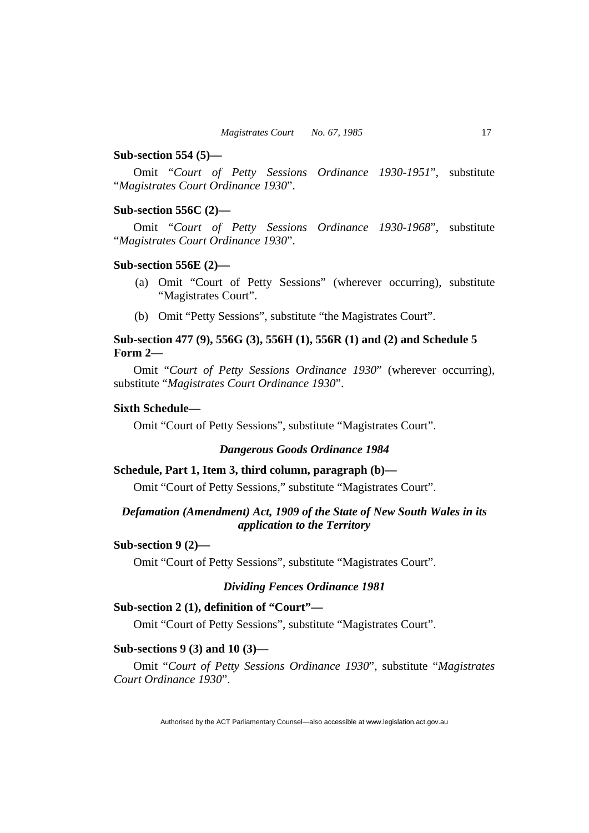#### **Sub-section 554 (5)—**

Omit "*Court of Petty Sessions Ordinance 1930-1951*", substitute "*Magistrates Court Ordinance 1930*".

# **Sub-section 556C (2)—**

Omit "*Court of Petty Sessions Ordinance 1930-1968*", substitute "*Magistrates Court Ordinance 1930*".

#### **Sub-section 556E (2)—**

- (a) Omit "Court of Petty Sessions" (wherever occurring), substitute "Magistrates Court".
- (b) Omit "Petty Sessions", substitute "the Magistrates Court".

# **Sub-section 477 (9), 556G (3), 556H (1), 556R (1) and (2) and Schedule 5 Form 2—**

Omit "*Court of Petty Sessions Ordinance 1930*" (wherever occurring), substitute "*Magistrates Court Ordinance 1930*".

#### **Sixth Schedule—**

Omit "Court of Petty Sessions", substitute "Magistrates Court".

#### *Dangerous Goods Ordinance 1984*

# **Schedule, Part 1, Item 3, third column, paragraph (b)—**

Omit "Court of Petty Sessions," substitute "Magistrates Court".

# *Defamation (Amendment) Act, 1909 of the State of New South Wales in its application to the Territory*

# **Sub-section 9 (2)—**

Omit "Court of Petty Sessions", substitute "Magistrates Court".

# *Dividing Fences Ordinance 1981*

# **Sub-section 2 (1), definition of "Court"—**

Omit "Court of Petty Sessions", substitute "Magistrates Court".

# **Sub-sections 9 (3) and 10 (3)—**

Omit "*Court of Petty Sessions Ordinance 1930*", substitute "*Magistrates Court Ordinance 1930*".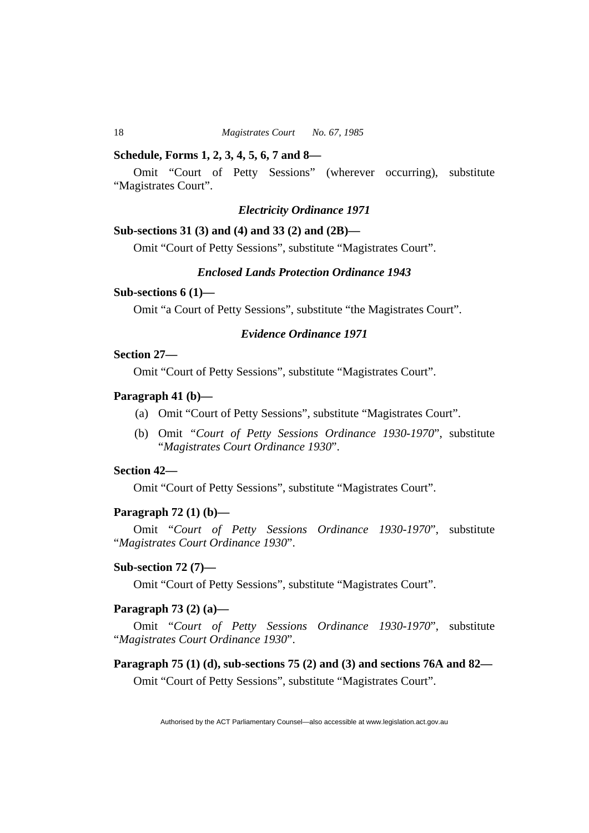#### **Schedule, Forms 1, 2, 3, 4, 5, 6, 7 and 8—**

Omit "Court of Petty Sessions" (wherever occurring), substitute "Magistrates Court".

# *Electricity Ordinance 1971*

#### **Sub-sections 31 (3) and (4) and 33 (2) and (2B)—**

Omit "Court of Petty Sessions", substitute "Magistrates Court".

# *Enclosed Lands Protection Ordinance 1943*

# **Sub-sections 6 (1)—**

Omit "a Court of Petty Sessions", substitute "the Magistrates Court".

# *Evidence Ordinance 1971*

# **Section 27—**

Omit "Court of Petty Sessions", substitute "Magistrates Court".

#### **Paragraph 41 (b)—**

- (a) Omit "Court of Petty Sessions", substitute "Magistrates Court".
- (b) Omit *"Court of Petty Sessions Ordinance 1930-1970*", substitute "*Magistrates Court Ordinance 1930*".

# **Section 42—**

Omit "Court of Petty Sessions", substitute "Magistrates Court".

#### **Paragraph 72 (1) (b)—**

Omit "*Court of Petty Sessions Ordinance 1930-1970*", substitute "*Magistrates Court Ordinance 1930*".

# **Sub-section 72 (7)—**

Omit "Court of Petty Sessions", substitute "Magistrates Court".

#### **Paragraph 73 (2) (a)—**

Omit "*Court of Petty Sessions Ordinance 1930-1970*", substitute "*Magistrates Court Ordinance 1930*".

#### **Paragraph 75 (1) (d), sub-sections 75 (2) and (3) and sections 76A and 82—**

Omit "Court of Petty Sessions", substitute "Magistrates Court".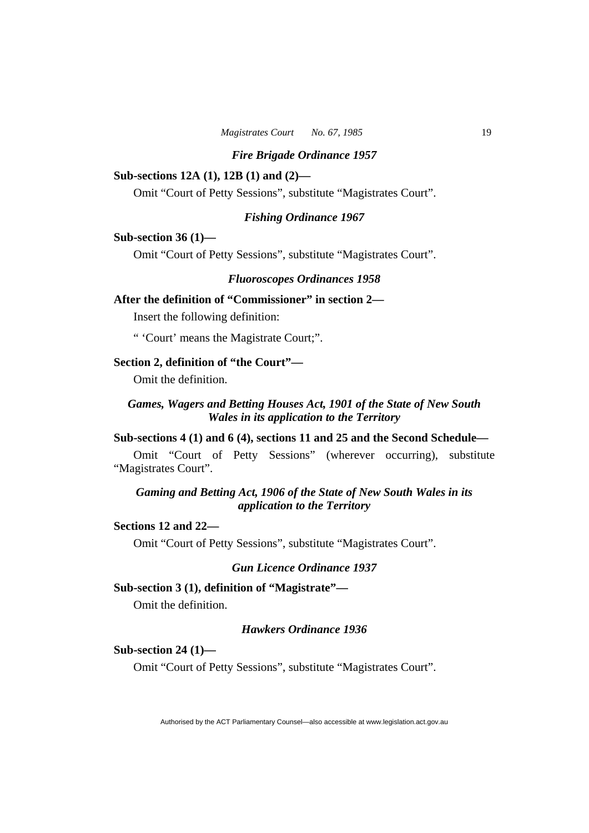# **Sub-sections 12A (1), 12B (1) and (2)—**

Omit "Court of Petty Sessions", substitute "Magistrates Court".

#### *Fishing Ordinance 1967*

# **Sub-section 36 (1)—**

Omit "Court of Petty Sessions", substitute "Magistrates Court".

# *Fluoroscopes Ordinances 1958*

# **After the definition of "Commissioner" in section 2—**

Insert the following definition:

" 'Court' means the Magistrate Court;".

# **Section 2, definition of "the Court"—**

Omit the definition.

# *Games, Wagers and Betting Houses Act, 1901 of the State of New South Wales in its application to the Territory*

# **Sub-sections 4 (1) and 6 (4), sections 11 and 25 and the Second Schedule—**

Omit "Court of Petty Sessions" (wherever occurring), substitute "Magistrates Court".

# *Gaming and Betting Act, 1906 of the State of New South Wales in its application to the Territory*

# **Sections 12 and 22—**

Omit "Court of Petty Sessions", substitute "Magistrates Court".

# *Gun Licence Ordinance 1937*

#### **Sub-section 3 (1), definition of "Magistrate"—**

Omit the definition.

# *Hawkers Ordinance 1936*

#### **Sub-section 24 (1)—**

Omit "Court of Petty Sessions", substitute "Magistrates Court".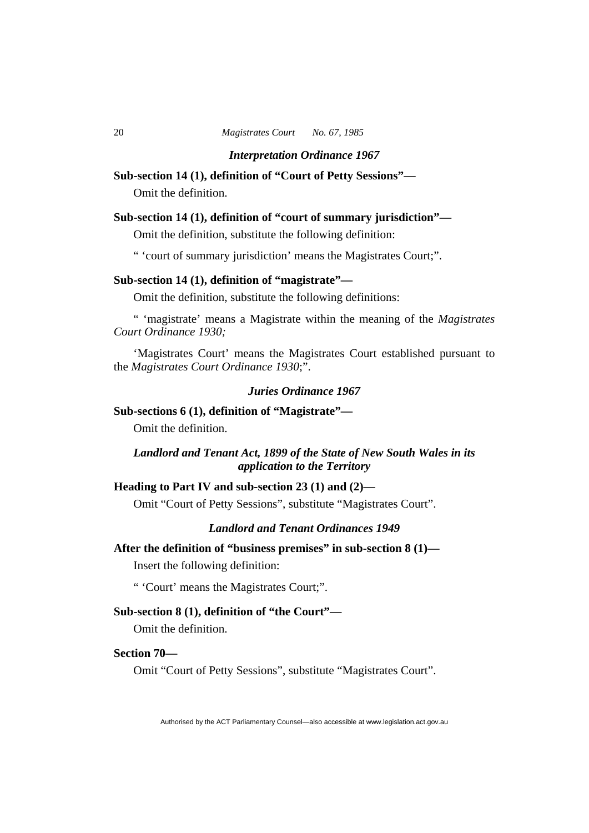*Interpretation Ordinance 1967* 

#### **Sub-section 14 (1), definition of "Court of Petty Sessions"—**

Omit the definition.

## **Sub-section 14 (1), definition of "court of summary jurisdiction"—**

Omit the definition, substitute the following definition:

" 'court of summary jurisdiction' means the Magistrates Court;".

#### **Sub-section 14 (1), definition of "magistrate"—**

Omit the definition, substitute the following definitions:

" 'magistrate' means a Magistrate within the meaning of the *Magistrates Court Ordinance 1930;* 

'Magistrates Court' means the Magistrates Court established pursuant to the *Magistrates Court Ordinance 1930*;".

# *Juries Ordinance 1967*

# **Sub-sections 6 (1), definition of "Magistrate"—**

Omit the definition.

# *Landlord and Tenant Act, 1899 of the State of New South Wales in its application to the Territory*

# **Heading to Part IV and sub-section 23 (1) and (2)—**

Omit "Court of Petty Sessions", substitute "Magistrates Court".

# *Landlord and Tenant Ordinances 1949*

**After the definition of "business premises" in sub-section 8 (1)—** 

Insert the following definition:

" 'Court' means the Magistrates Court;".

# **Sub-section 8 (1), definition of "the Court"—**

Omit the definition.

# **Section 70—**

Omit "Court of Petty Sessions", substitute "Magistrates Court".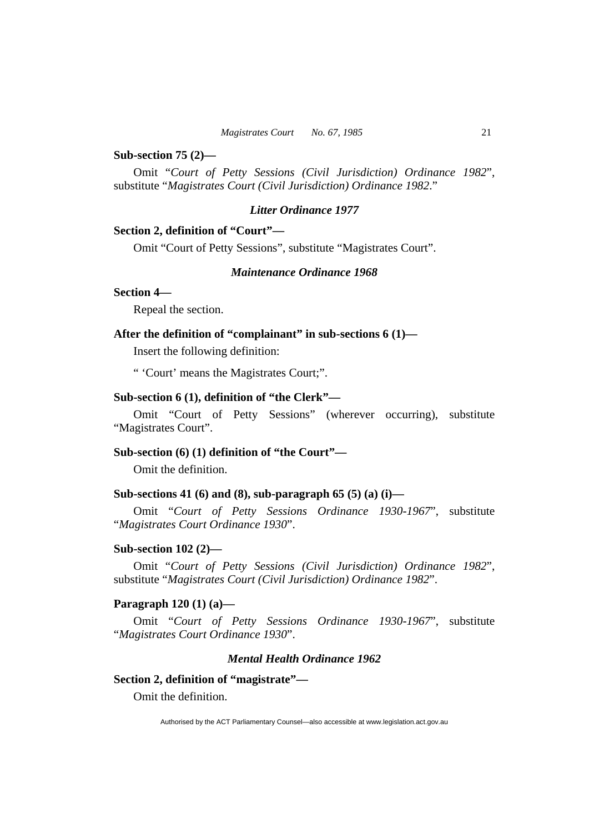#### **Sub-section 75 (2)—**

Omit "*Court of Petty Sessions (Civil Jurisdiction) Ordinance 1982*", substitute "*Magistrates Court (Civil Jurisdiction) Ordinance 1982*."

# *Litter Ordinance 1977*

#### **Section 2, definition of "Court"—**

Omit "Court of Petty Sessions", substitute "Magistrates Court".

#### *Maintenance Ordinance 1968*

#### **Section 4—**

Repeal the section.

# **After the definition of "complainant" in sub-sections 6 (1)—**

Insert the following definition:

" 'Court' means the Magistrates Court;".

# **Sub-section 6 (1), definition of "the Clerk"—**

Omit "Court of Petty Sessions" (wherever occurring), substitute "Magistrates Court".

# **Sub-section (6) (1) definition of "the Court"—**

Omit the definition.

#### **Sub-sections 41 (6) and (8), sub-paragraph 65 (5) (a) (i)—**

Omit "*Court of Petty Sessions Ordinance 1930-1967*", substitute "*Magistrates Court Ordinance 1930*".

#### **Sub-section 102 (2)—**

Omit "*Court of Petty Sessions (Civil Jurisdiction) Ordinance 1982*", substitute "*Magistrates Court (Civil Jurisdiction) Ordinance 1982*".

#### **Paragraph 120 (1) (a)—**

Omit "*Court of Petty Sessions Ordinance 1930-1967*", substitute "*Magistrates Court Ordinance 1930*".

#### *Mental Health Ordinance 1962*

# **Section 2, definition of "magistrate"—**

Omit the definition.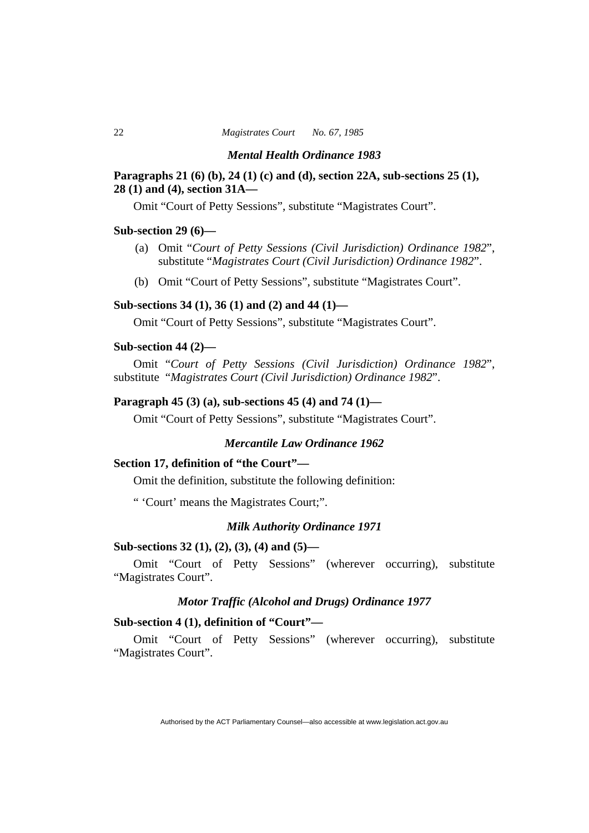#### *Mental Health Ordinance 1983*

# **Paragraphs 21 (6) (b), 24 (1) (c) and (d), section 22A, sub-sections 25 (1), 28 (1) and (4), section 31A—**

Omit "Court of Petty Sessions", substitute "Magistrates Court".

#### **Sub-section 29 (6)—**

- (a) Omit "*Court of Petty Sessions (Civil Jurisdiction) Ordinance 1982*", substitute "*Magistrates Court (Civil Jurisdiction) Ordinance 1982*".
- (b) Omit "Court of Petty Sessions", substitute "Magistrates Court".

# **Sub-sections 34 (1), 36 (1) and (2) and 44 (1)—**

Omit "Court of Petty Sessions", substitute "Magistrates Court".

# **Sub-section 44 (2)—**

Omit "*Court of Petty Sessions (Civil Jurisdiction) Ordinance 1982*", substitute "*Magistrates Court (Civil Jurisdiction) Ordinance 1982*".

#### **Paragraph 45 (3) (a), sub-sections 45 (4) and 74 (1)—**

Omit "Court of Petty Sessions", substitute "Magistrates Court".

# *Mercantile Law Ordinance 1962*

#### **Section 17, definition of "the Court"—**

Omit the definition, substitute the following definition:

" 'Court' means the Magistrates Court;".

# *Milk Authority Ordinance 1971*

# **Sub-sections 32 (1), (2), (3), (4) and (5)—**

Omit "Court of Petty Sessions" (wherever occurring), substitute "Magistrates Court".

# *Motor Traffic (Alcohol and Drugs) Ordinance 1977*

# **Sub-section 4 (1), definition of "Court"—**

Omit "Court of Petty Sessions" (wherever occurring), substitute "Magistrates Court".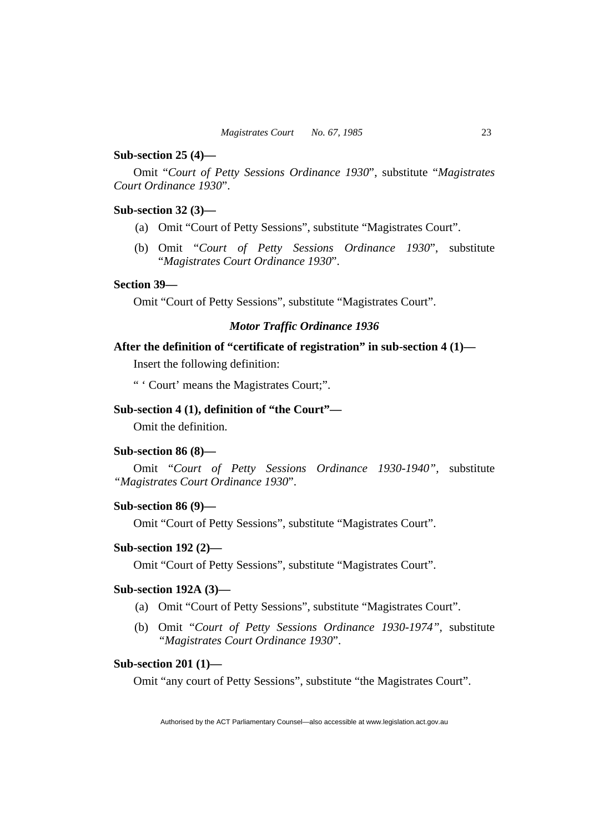#### **Sub-section 25 (4)—**

Omit "*Court of Petty Sessions Ordinance 1930*", substitute "*Magistrates Court Ordinance 1930*".

# **Sub-section 32 (3)—**

- (a) Omit "Court of Petty Sessions", substitute "Magistrates Court".
- (b) Omit "*Court of Petty Sessions Ordinance 1930*", substitute "*Magistrates Court Ordinance 1930*".

#### **Section 39—**

Omit "Court of Petty Sessions", substitute "Magistrates Court".

# *Motor Traffic Ordinance 1936*

#### **After the definition of "certificate of registration" in sub-section 4 (1)—**

Insert the following definition:

" ' Court' means the Magistrates Court;".

# **Sub-section 4 (1), definition of "the Court"—**

Omit the definition.

# **Sub-section 86 (8)—**

Omit "*Court of Petty Sessions Ordinance 1930-1940",* substitute *"Magistrates Court Ordinance 1930*".

# **Sub-section 86 (9)—**

Omit "Court of Petty Sessions", substitute "Magistrates Court".

#### **Sub-section 192 (2)—**

Omit "Court of Petty Sessions", substitute "Magistrates Court".

# **Sub-section 192A (3)—**

- (a) Omit "Court of Petty Sessions", substitute "Magistrates Court".
- (b) Omit "*Court of Petty Sessions Ordinance 1930-1974",* substitute *"Magistrates Court Ordinance 1930*".

#### **Sub-section 201 (1)—**

Omit "any court of Petty Sessions", substitute "the Magistrates Court".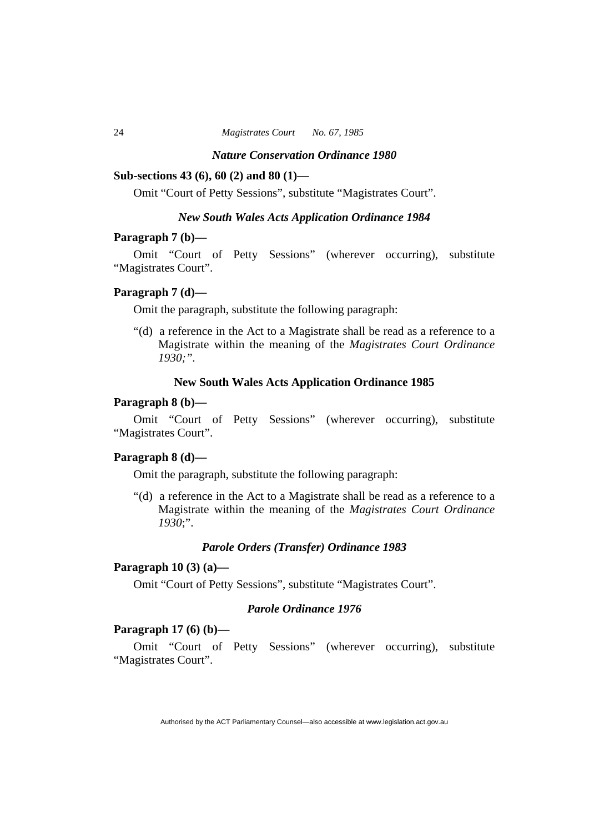#### *Nature Conservation Ordinance 1980*

#### **Sub-sections 43 (6), 60 (2) and 80 (1)—**

Omit "Court of Petty Sessions", substitute "Magistrates Court".

## *New South Wales Acts Application Ordinance 1984*

#### **Paragraph 7 (b)—**

Omit "Court of Petty Sessions" (wherever occurring), substitute "Magistrates Court".

# **Paragraph 7 (d)—**

Omit the paragraph, substitute the following paragraph:

"(d) a reference in the Act to a Magistrate shall be read as a reference to a Magistrate within the meaning of the *Magistrates Court Ordinance 1930;".* 

# **New South Wales Acts Application Ordinance 1985**

#### **Paragraph 8 (b)—**

Omit "Court of Petty Sessions" (wherever occurring), substitute "Magistrates Court".

#### **Paragraph 8 (d)—**

Omit the paragraph, substitute the following paragraph:

"(d) a reference in the Act to a Magistrate shall be read as a reference to a Magistrate within the meaning of the *Magistrates Court Ordinance 1930*;".

#### *Parole Orders (Transfer) Ordinance 1983*

# **Paragraph 10 (3) (a)—**

Omit "Court of Petty Sessions", substitute "Magistrates Court".

# *Parole Ordinance 1976*

#### **Paragraph 17 (6) (b)—**

Omit "Court of Petty Sessions" (wherever occurring), substitute "Magistrates Court".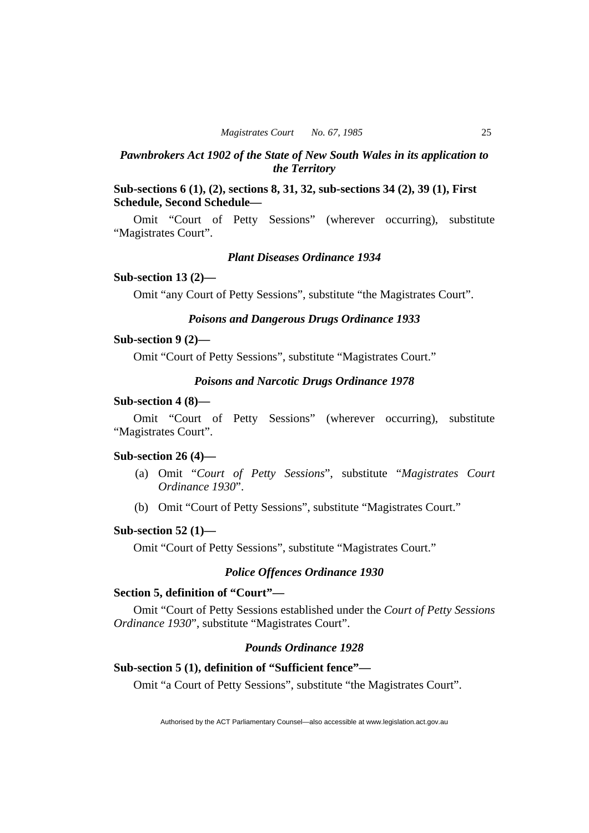# *Pawnbrokers Act 1902 of the State of New South Wales in its application to the Territory*

# **Sub-sections 6 (1), (2), sections 8, 31, 32, sub-sections 34 (2), 39 (1), First Schedule, Second Schedule—**

Omit "Court of Petty Sessions" (wherever occurring), substitute "Magistrates Court".

# *Plant Diseases Ordinance 1934*

#### **Sub-section 13 (2)—**

Omit "any Court of Petty Sessions", substitute "the Magistrates Court".

# *Poisons and Dangerous Drugs Ordinance 1933*

#### **Sub-section 9 (2)—**

Omit "Court of Petty Sessions", substitute "Magistrates Court."

# *Poisons and Narcotic Drugs Ordinance 1978*

# **Sub-section 4 (8)—**

Omit "Court of Petty Sessions" (wherever occurring), substitute "Magistrates Court".

#### **Sub-section 26 (4)—**

- (a) Omit "*Court of Petty Sessions*", substitute "*Magistrates Court Ordinance 1930*".
- (b) Omit "Court of Petty Sessions", substitute "Magistrates Court."

#### **Sub-section 52 (1)—**

Omit "Court of Petty Sessions", substitute "Magistrates Court."

# *Police Offences Ordinance 1930*

# **Section 5, definition of "Court"—**

Omit "Court of Petty Sessions established under the *Court of Petty Sessions Ordinance 1930*", substitute "Magistrates Court".

# *Pounds Ordinance 1928*

# **Sub-section 5 (1), definition of "Sufficient fence"—**

Omit "a Court of Petty Sessions", substitute "the Magistrates Court".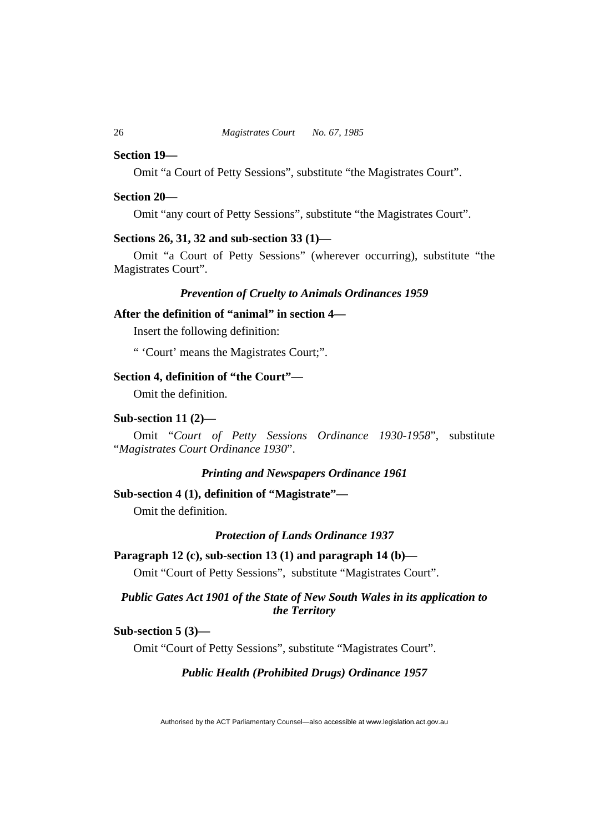#### **Section 19—**

Omit "a Court of Petty Sessions", substitute "the Magistrates Court".

#### **Section 20—**

Omit "any court of Petty Sessions", substitute "the Magistrates Court".

# **Sections 26, 31, 32 and sub-section 33 (1)—**

Omit "a Court of Petty Sessions" (wherever occurring), substitute "the Magistrates Court".

# *Prevention of Cruelty to Animals Ordinances 1959*

# **After the definition of "animal" in section 4—**

Insert the following definition:

" 'Court' means the Magistrates Court;".

# **Section 4, definition of "the Court"—**

Omit the definition.

#### **Sub-section 11 (2)—**

Omit "*Court of Petty Sessions Ordinance 1930-1958*", substitute "*Magistrates Court Ordinance 1930*".

# *Printing and Newspapers Ordinance 1961*

# **Sub-section 4 (1), definition of "Magistrate"—**

Omit the definition.

#### *Protection of Lands Ordinance 1937*

#### **Paragraph 12 (c), sub-section 13 (1) and paragraph 14 (b)—**

Omit "Court of Petty Sessions", substitute "Magistrates Court".

# *Public Gates Act 1901 of the State of New South Wales in its application to the Territory*

# **Sub-section 5 (3)—**

Omit "Court of Petty Sessions", substitute "Magistrates Court".

#### *Public Health (Prohibited Drugs) Ordinance 1957*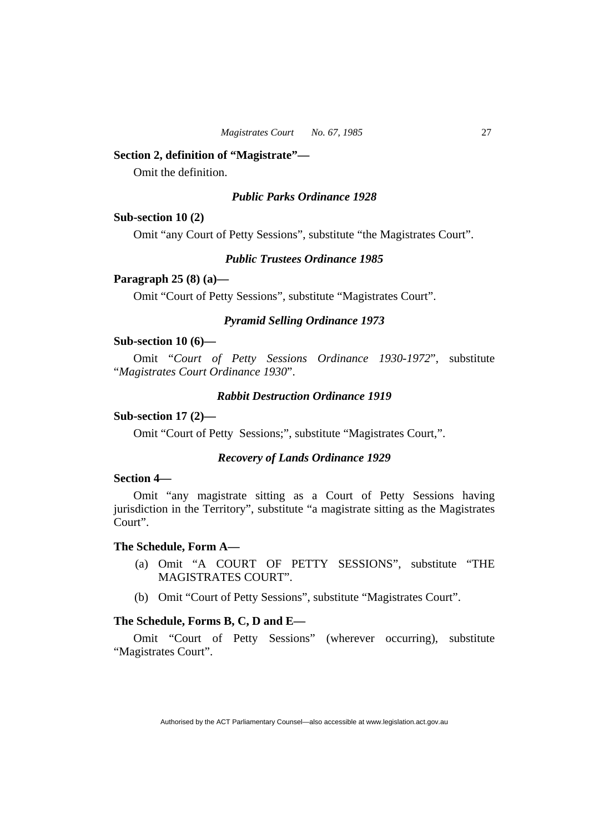#### **Section 2, definition of "Magistrate"—**

Omit the definition.

# *Public Parks Ordinance 1928*

#### **Sub-section 10 (2)**

Omit "any Court of Petty Sessions", substitute "the Magistrates Court".

#### *Public Trustees Ordinance 1985*

#### **Paragraph 25 (8) (a)—**

Omit "Court of Petty Sessions", substitute "Magistrates Court".

# *Pyramid Selling Ordinance 1973*

#### **Sub-section 10 (6)—**

Omit "*Court of Petty Sessions Ordinance 1930-1972*", substitute "*Magistrates Court Ordinance 1930*".

# *Rabbit Destruction Ordinance 1919*

# **Sub-section 17 (2)—**

Omit "Court of Petty Sessions;", substitute "Magistrates Court,".

#### *Recovery of Lands Ordinance 1929*

#### **Section 4—**

Omit "any magistrate sitting as a Court of Petty Sessions having jurisdiction in the Territory", substitute "a magistrate sitting as the Magistrates Court".

# **The Schedule, Form A—**

- (a) Omit "A COURT OF PETTY SESSIONS", substitute "THE MAGISTRATES COURT".
- (b) Omit "Court of Petty Sessions", substitute "Magistrates Court".

#### **The Schedule, Forms B, C, D and E—**

Omit "Court of Petty Sessions" (wherever occurring), substitute "Magistrates Court".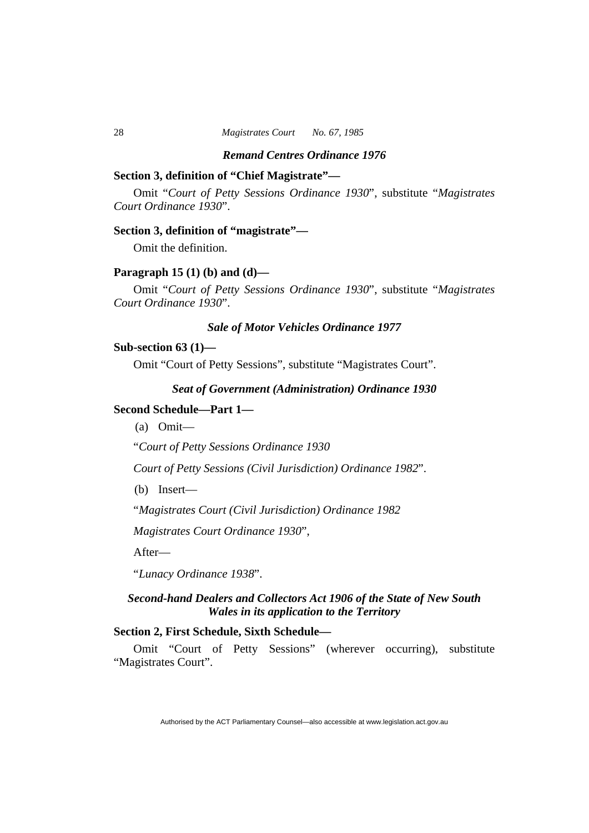#### *Remand Centres Ordinance 1976*

# **Section 3, definition of "Chief Magistrate"—**

Omit "*Court of Petty Sessions Ordinance 1930*", substitute "*Magistrates Court Ordinance 1930*".

#### **Section 3, definition of "magistrate"—**

Omit the definition.

# **Paragraph 15 (1) (b) and (d)—**

Omit "*Court of Petty Sessions Ordinance 1930*", substitute "*Magistrates Court Ordinance 1930*".

# *Sale of Motor Vehicles Ordinance 1977*

#### **Sub-section 63 (1)—**

Omit "Court of Petty Sessions", substitute "Magistrates Court".

#### *Seat of Government (Administration) Ordinance 1930*

# **Second Schedule—Part 1—**

(a) Omit—

"*Court of Petty Sessions Ordinance 1930*

*Court of Petty Sessions (Civil Jurisdiction) Ordinance 1982*".

(b) Insert—

"*Magistrates Court (Civil Jurisdiction) Ordinance 1982*

*Magistrates Court Ordinance 1930*",

After—

"*Lunacy Ordinance 1938*".

# *Second-hand Dealers and Collectors Act 1906 of the State of New South Wales in its application to the Territory*

# **Section 2, First Schedule, Sixth Schedule—**

Omit "Court of Petty Sessions" (wherever occurring), substitute "Magistrates Court".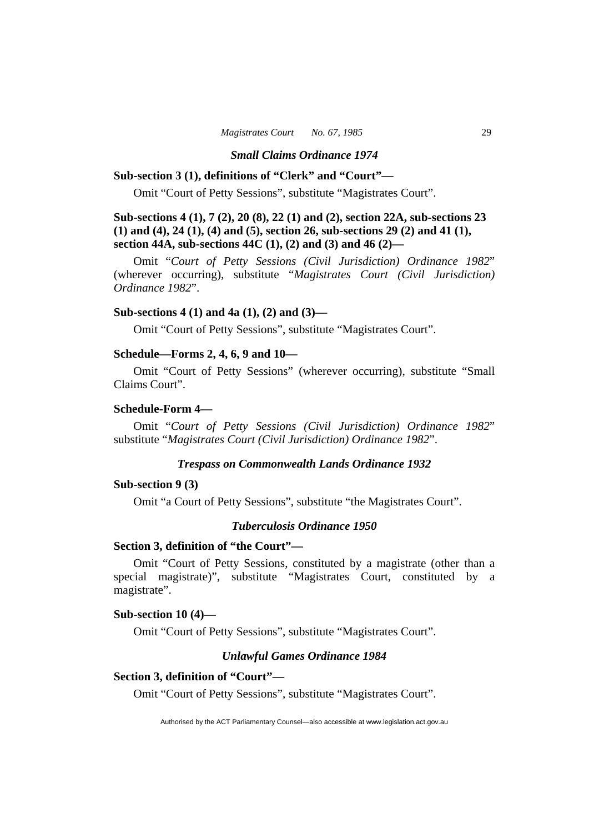#### *Small Claims Ordinance 1974*

# **Sub-section 3 (1), definitions of "Clerk" and "Court"—**

Omit "Court of Petty Sessions", substitute "Magistrates Court".

# **Sub-sections 4 (1), 7 (2), 20 (8), 22 (1) and (2), section 22A, sub-sections 23 (1) and (4), 24 (1), (4) and (5), section 26, sub-sections 29 (2) and 41 (1), section 44A, sub-sections 44C (1), (2) and (3) and 46 (2)—**

Omit "*Court of Petty Sessions (Civil Jurisdiction) Ordinance 1982*" (wherever occurring), substitute "*Magistrates Court (Civil Jurisdiction) Ordinance 1982*".

#### **Sub-sections 4 (1) and 4a (1), (2) and (3)—**

Omit "Court of Petty Sessions", substitute "Magistrates Court".

# **Schedule—Forms 2, 4, 6, 9 and 10—**

Omit "Court of Petty Sessions" (wherever occurring), substitute "Small Claims Court".

# **Schedule-Form 4—**

Omit "*Court of Petty Sessions (Civil Jurisdiction) Ordinance 1982*" substitute "*Magistrates Court (Civil Jurisdiction) Ordinance 1982*".

#### *Trespass on Commonwealth Lands Ordinance 1932*

#### **Sub-section 9 (3)**

Omit "a Court of Petty Sessions", substitute "the Magistrates Court".

# *Tuberculosis Ordinance 1950*

# **Section 3, definition of "the Court"—**

Omit "Court of Petty Sessions, constituted by a magistrate (other than a special magistrate)", substitute "Magistrates Court, constituted by a magistrate".

#### **Sub-section 10 (4)—**

Omit "Court of Petty Sessions", substitute "Magistrates Court".

# *Unlawful Games Ordinance 1984*

#### **Section 3, definition of "Court"—**

Omit "Court of Petty Sessions", substitute "Magistrates Court".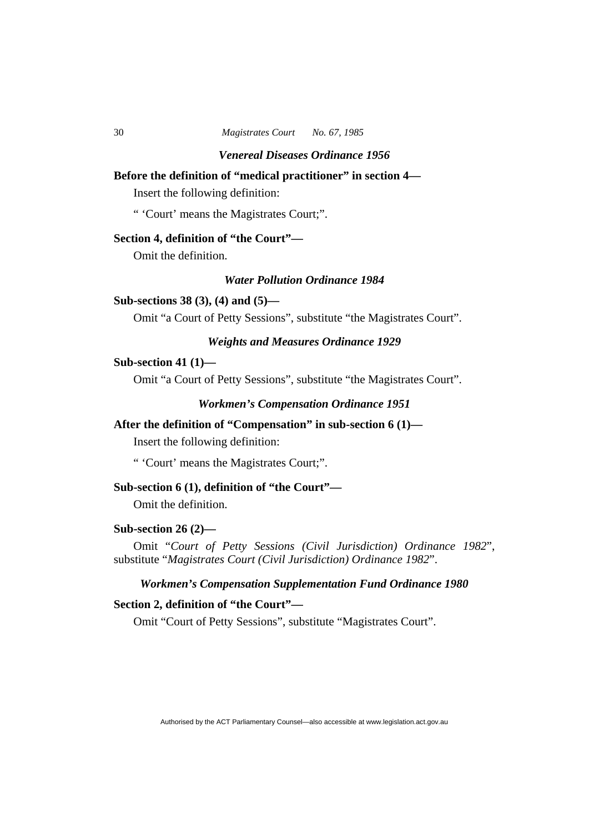# **Before the definition of "medical practitioner" in section 4—**

Insert the following definition:

" 'Court' means the Magistrates Court;".

# **Section 4, definition of "the Court"—**

Omit the definition.

# *Water Pollution Ordinance 1984*

# **Sub-sections 38 (3), (4) and (5)—**

Omit "a Court of Petty Sessions", substitute "the Magistrates Court".

# *Weights and Measures Ordinance 1929*

# **Sub-section 41 (1)—**

Omit "a Court of Petty Sessions", substitute "the Magistrates Court".

#### *Workmen's Compensation Ordinance 1951*

# **After the definition of "Compensation" in sub-section 6 (1)—**

Insert the following definition:

" 'Court' means the Magistrates Court;".

# **Sub-section 6 (1), definition of "the Court"—**

Omit the definition.

#### **Sub-section 26 (2)—**

Omit "*Court of Petty Sessions (Civil Jurisdiction) Ordinance 1982*", substitute "*Magistrates Court (Civil Jurisdiction) Ordinance 1982*".

# *Workmen's Compensation Supplementation Fund Ordinance 1980*

# **Section 2, definition of "the Court"—**

Omit "Court of Petty Sessions", substitute "Magistrates Court".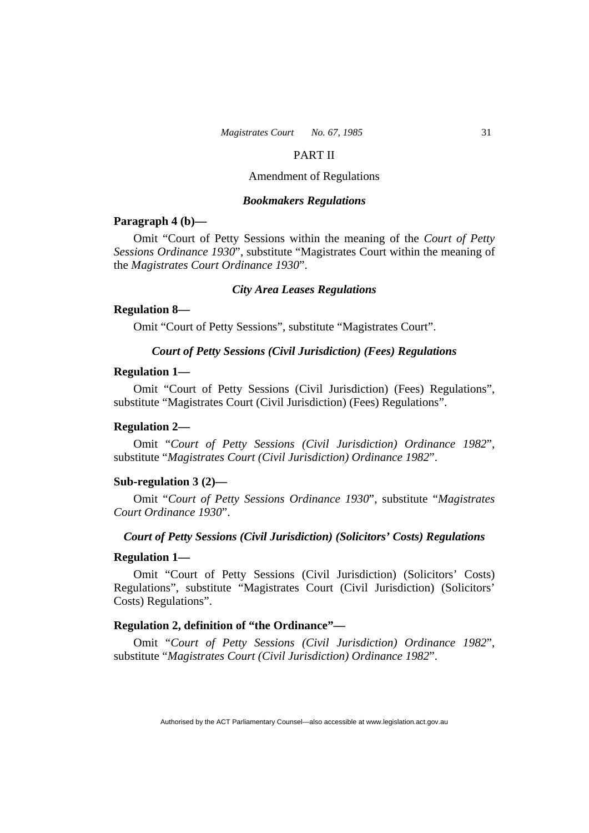#### PART II

# Amendment of Regulations

#### *Bookmakers Regulations*

#### **Paragraph 4 (b)—**

Omit "Court of Petty Sessions within the meaning of the *Court of Petty Sessions Ordinance 1930*", substitute "Magistrates Court within the meaning of the *Magistrates Court Ordinance 1930*".

#### *City Area Leases Regulations*

#### **Regulation 8—**

Omit "Court of Petty Sessions", substitute "Magistrates Court".

#### *Court of Petty Sessions (Civil Jurisdiction) (Fees) Regulations*

#### **Regulation 1—**

Omit "Court of Petty Sessions (Civil Jurisdiction) (Fees) Regulations", substitute "Magistrates Court (Civil Jurisdiction) (Fees) Regulations".

#### **Regulation 2—**

Omit "*Court of Petty Sessions (Civil Jurisdiction) Ordinance 1982*", substitute "*Magistrates Court (Civil Jurisdiction) Ordinance 1982*".

#### **Sub-regulation 3 (2)—**

Omit "*Court of Petty Sessions Ordinance 1930*", substitute "*Magistrates Court Ordinance 1930*".

## *Court of Petty Sessions (Civil Jurisdiction) (Solicitors' Costs) Regulations*

#### **Regulation 1—**

Omit "Court of Petty Sessions (Civil Jurisdiction) (Solicitors' Costs) Regulations", substitute "Magistrates Court (Civil Jurisdiction) (Solicitors' Costs) Regulations".

#### **Regulation 2, definition of "the Ordinance"—**

Omit "*Court of Petty Sessions (Civil Jurisdiction) Ordinance 1982*", substitute "*Magistrates Court (Civil Jurisdiction) Ordinance 1982*".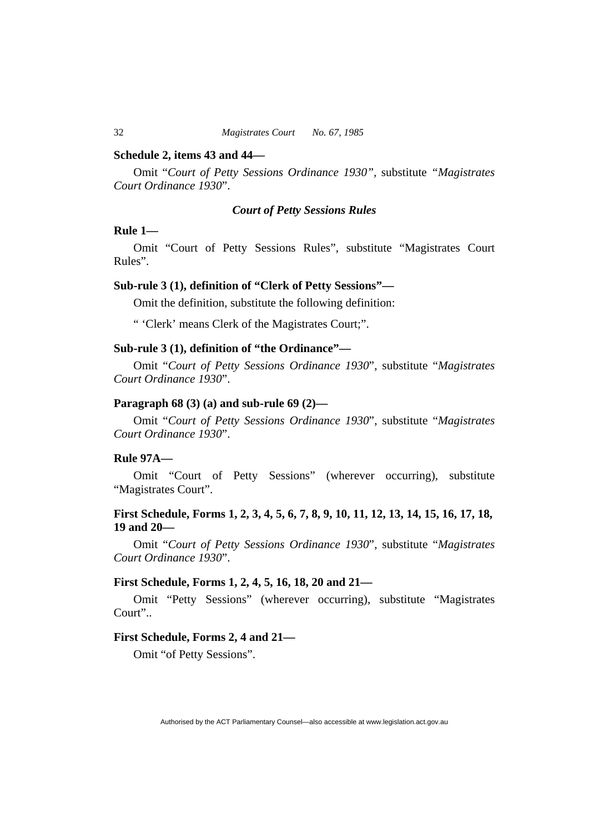#### **Schedule 2, items 43 and 44—**

Omit "*Court of Petty Sessions Ordinance 1930",* substitute *"Magistrates Court Ordinance 1930*".

# *Court of Petty Sessions Rules*

#### **Rule 1—**

Omit "Court of Petty Sessions Rules", substitute "Magistrates Court Rules".

#### **Sub-rule 3 (1), definition of "Clerk of Petty Sessions"—**

Omit the definition, substitute the following definition:

" 'Clerk' means Clerk of the Magistrates Court;".

# **Sub-rule 3 (1), definition of "the Ordinance"—**

Omit "*Court of Petty Sessions Ordinance 1930*", substitute "*Magistrates Court Ordinance 1930*".

#### **Paragraph 68 (3) (a) and sub-rule 69 (2)—**

Omit "*Court of Petty Sessions Ordinance 1930*", substitute "*Magistrates Court Ordinance 1930*".

# **Rule 97A—**

Omit "Court of Petty Sessions" (wherever occurring), substitute "Magistrates Court".

# **First Schedule, Forms 1, 2, 3, 4, 5, 6, 7, 8, 9, 10, 11, 12, 13, 14, 15, 16, 17, 18, 19 and 20—**

Omit "*Court of Petty Sessions Ordinance 1930*", substitute "*Magistrates Court Ordinance 1930*".

# **First Schedule, Forms 1, 2, 4, 5, 16, 18, 20 and 21—**

Omit "Petty Sessions" (wherever occurring), substitute "Magistrates Court"..

# **First Schedule, Forms 2, 4 and 21—**

Omit "of Petty Sessions".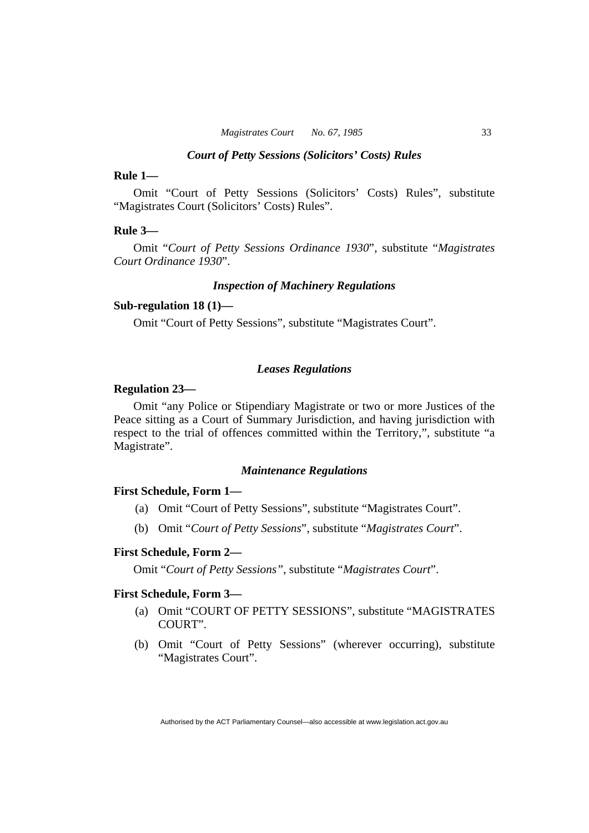#### *Court of Petty Sessions (Solicitors' Costs) Rules*

# **Rule 1—**

Omit "Court of Petty Sessions (Solicitors' Costs) Rules", substitute "Magistrates Court (Solicitors' Costs) Rules".

#### **Rule 3—**

Omit "*Court of Petty Sessions Ordinance 1930*", substitute "*Magistrates Court Ordinance 1930*".

#### *Inspection of Machinery Regulations*

#### **Sub-regulation 18 (1)—**

Omit "Court of Petty Sessions", substitute "Magistrates Court".

#### *Leases Regulations*

# **Regulation 23—**

Omit "any Police or Stipendiary Magistrate or two or more Justices of the Peace sitting as a Court of Summary Jurisdiction, and having jurisdiction with respect to the trial of offences committed within the Territory,", substitute "a Magistrate".

# *Maintenance Regulations*

#### **First Schedule, Form 1—**

- (a) Omit "Court of Petty Sessions", substitute "Magistrates Court".
- (b) Omit "*Court of Petty Sessions*", substitute "*Magistrates Court*".

#### **First Schedule, Form 2—**

Omit "*Court of Petty Sessions"*, substitute "*Magistrates Court*".

#### **First Schedule, Form 3—**

- (a) Omit "COURT OF PETTY SESSIONS", substitute "MAGISTRATES COURT".
- (b) Omit "Court of Petty Sessions" (wherever occurring), substitute "Magistrates Court".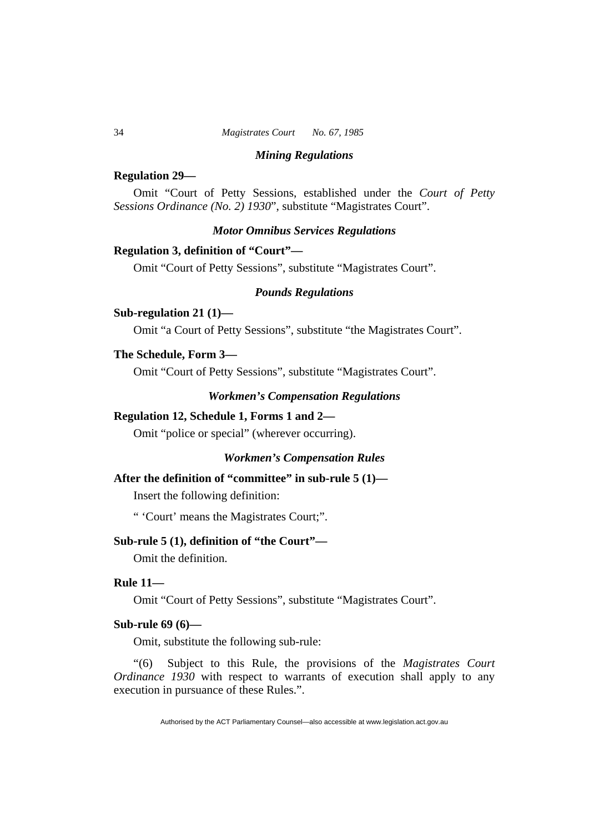#### *Mining Regulations*

#### **Regulation 29—**

Omit "Court of Petty Sessions, established under the *Court of Petty Sessions Ordinance (No. 2) 1930*", substitute "Magistrates Court".

#### *Motor Omnibus Services Regulations*

#### **Regulation 3, definition of "Court"—**

Omit "Court of Petty Sessions", substitute "Magistrates Court".

# *Pounds Regulations*

#### **Sub-regulation 21 (1)—**

Omit "a Court of Petty Sessions", substitute "the Magistrates Court".

#### **The Schedule, Form 3—**

Omit "Court of Petty Sessions", substitute "Magistrates Court".

## *Workmen's Compensation Regulations*

#### **Regulation 12, Schedule 1, Forms 1 and 2—**

Omit "police or special" (wherever occurring).

# *Workmen's Compensation Rules*

# **After the definition of "committee" in sub-rule 5 (1)—**

Insert the following definition:

" 'Court' means the Magistrates Court;".

# **Sub-rule 5 (1), definition of "the Court"—**

Omit the definition.

#### **Rule 11—**

Omit "Court of Petty Sessions", substitute "Magistrates Court".

# **Sub-rule 69 (6)—**

Omit, substitute the following sub-rule:

"(6) Subject to this Rule, the provisions of the *Magistrates Court Ordinance 1930* with respect to warrants of execution shall apply to any execution in pursuance of these Rules.".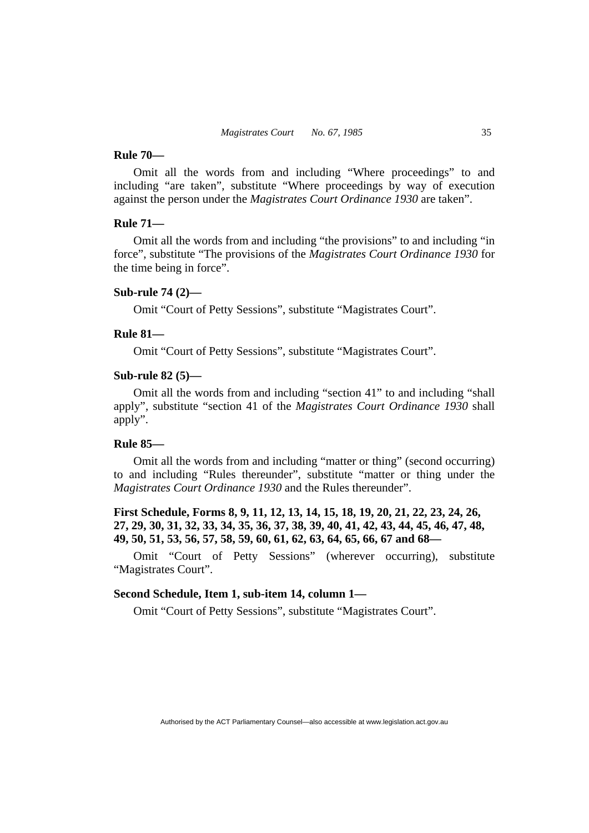#### **Rule 70—**

Omit all the words from and including "Where proceedings" to and including "are taken", substitute "Where proceedings by way of execution against the person under the *Magistrates Court Ordinance 1930* are taken".

# **Rule 71—**

Omit all the words from and including "the provisions" to and including "in force", substitute "The provisions of the *Magistrates Court Ordinance 1930* for the time being in force".

# **Sub-rule 74 (2)—**

Omit "Court of Petty Sessions", substitute "Magistrates Court".

# **Rule 81—**

Omit "Court of Petty Sessions", substitute "Magistrates Court".

# **Sub-rule 82 (5)—**

Omit all the words from and including "section 41" to and including "shall apply", substitute "section 41 of the *Magistrates Court Ordinance 1930* shall apply".

#### **Rule 85—**

Omit all the words from and including "matter or thing" (second occurring) to and including "Rules thereunder", substitute "matter or thing under the *Magistrates Court Ordinance 1930* and the Rules thereunder".

# **First Schedule, Forms 8, 9, 11, 12, 13, 14, 15, 18, 19, 20, 21, 22, 23, 24, 26, 27, 29, 30, 31, 32, 33, 34, 35, 36, 37, 38, 39, 40, 41, 42, 43, 44, 45, 46, 47, 48, 49, 50, 51, 53, 56, 57, 58, 59, 60, 61, 62, 63, 64, 65, 66, 67 and 68—**

Omit "Court of Petty Sessions" (wherever occurring), substitute "Magistrates Court".

# **Second Schedule, Item 1, sub-item 14, column 1—**

Omit "Court of Petty Sessions", substitute "Magistrates Court".